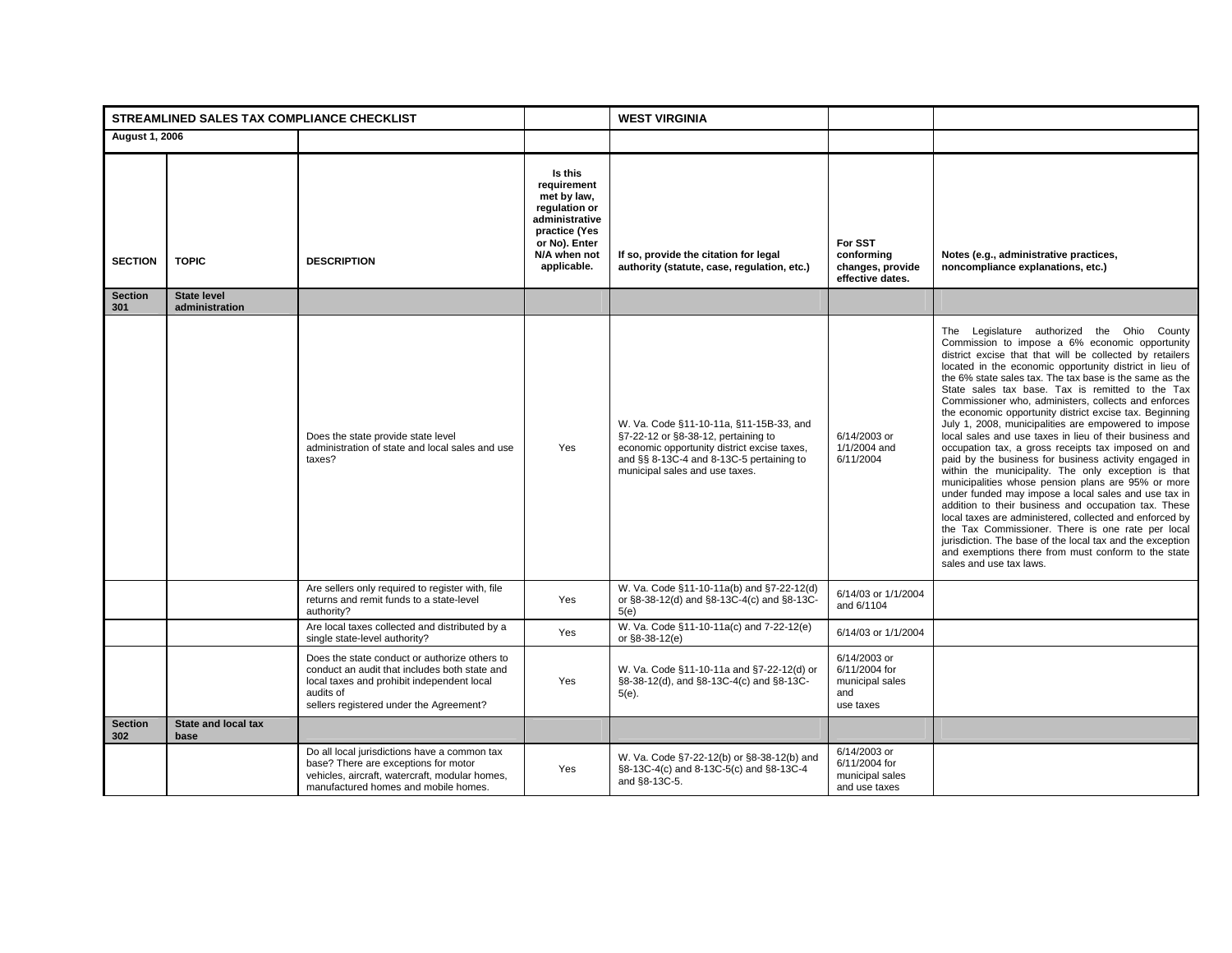|                       | STREAMLINED SALES TAX COMPLIANCE CHECKLIST |                                                                                                                                                                                                      |                                                                                                                                           | <b>WEST VIRGINIA</b>                                                                                                                                                                                        |                                                                      |                                                                                                                                                                                                                                                                                                                                                                                                                                                                                                                                                                                                                                                                                                                                                                                                                                                                                                                                                                                                                                                                                                                                                                                      |
|-----------------------|--------------------------------------------|------------------------------------------------------------------------------------------------------------------------------------------------------------------------------------------------------|-------------------------------------------------------------------------------------------------------------------------------------------|-------------------------------------------------------------------------------------------------------------------------------------------------------------------------------------------------------------|----------------------------------------------------------------------|--------------------------------------------------------------------------------------------------------------------------------------------------------------------------------------------------------------------------------------------------------------------------------------------------------------------------------------------------------------------------------------------------------------------------------------------------------------------------------------------------------------------------------------------------------------------------------------------------------------------------------------------------------------------------------------------------------------------------------------------------------------------------------------------------------------------------------------------------------------------------------------------------------------------------------------------------------------------------------------------------------------------------------------------------------------------------------------------------------------------------------------------------------------------------------------|
| <b>August 1, 2006</b> |                                            |                                                                                                                                                                                                      |                                                                                                                                           |                                                                                                                                                                                                             |                                                                      |                                                                                                                                                                                                                                                                                                                                                                                                                                                                                                                                                                                                                                                                                                                                                                                                                                                                                                                                                                                                                                                                                                                                                                                      |
| <b>SECTION</b>        | <b>TOPIC</b>                               | <b>DESCRIPTION</b>                                                                                                                                                                                   | Is this<br>requirement<br>met by law,<br>regulation or<br>administrative<br>practice (Yes<br>or No). Enter<br>N/A when not<br>applicable. | If so, provide the citation for legal<br>authority (statute, case, regulation, etc.)                                                                                                                        | For SST<br>conforming<br>changes, provide<br>effective dates.        | Notes (e.g., administrative practices,<br>noncompliance explanations, etc.)                                                                                                                                                                                                                                                                                                                                                                                                                                                                                                                                                                                                                                                                                                                                                                                                                                                                                                                                                                                                                                                                                                          |
| <b>Section</b><br>301 | <b>State level</b><br>administration       |                                                                                                                                                                                                      |                                                                                                                                           |                                                                                                                                                                                                             |                                                                      |                                                                                                                                                                                                                                                                                                                                                                                                                                                                                                                                                                                                                                                                                                                                                                                                                                                                                                                                                                                                                                                                                                                                                                                      |
|                       |                                            | Does the state provide state level<br>administration of state and local sales and use<br>taxes?                                                                                                      | Yes                                                                                                                                       | W. Va. Code §11-10-11a, §11-15B-33, and<br>§7-22-12 or §8-38-12, pertaining to<br>economic opportunity district excise taxes,<br>and §§ 8-13C-4 and 8-13C-5 pertaining to<br>municipal sales and use taxes. | 6/14/2003 or<br>1/1/2004 and<br>6/11/2004                            | The Legislature authorized the Ohio County<br>Commission to impose a 6% economic opportunity<br>district excise that that will be collected by retailers<br>located in the economic opportunity district in lieu of<br>the 6% state sales tax. The tax base is the same as the<br>State sales tax base. Tax is remitted to the Tax<br>Commissioner who, administers, collects and enforces<br>the economic opportunity district excise tax. Beginning<br>July 1, 2008, municipalities are empowered to impose<br>local sales and use taxes in lieu of their business and<br>occupation tax, a gross receipts tax imposed on and<br>paid by the business for business activity engaged in<br>within the municipality. The only exception is that<br>municipalities whose pension plans are 95% or more<br>under funded may impose a local sales and use tax in<br>addition to their business and occupation tax. These<br>local taxes are administered, collected and enforced by<br>the Tax Commissioner. There is one rate per local<br>jurisdiction. The base of the local tax and the exception<br>and exemptions there from must conform to the state<br>sales and use tax laws. |
|                       |                                            | Are sellers only required to register with, file<br>returns and remit funds to a state-level<br>authority?                                                                                           | Yes                                                                                                                                       | W. Va. Code §11-10-11a(b) and §7-22-12(d)<br>or §8-38-12(d) and §8-13C-4(c) and §8-13C-<br>5(e)                                                                                                             | 6/14/03 or 1/1/2004<br>and 6/1104                                    |                                                                                                                                                                                                                                                                                                                                                                                                                                                                                                                                                                                                                                                                                                                                                                                                                                                                                                                                                                                                                                                                                                                                                                                      |
|                       |                                            | Are local taxes collected and distributed by a<br>single state-level authority?                                                                                                                      | Yes                                                                                                                                       | W. Va. Code §11-10-11a(c) and 7-22-12(e)<br>or §8-38-12(e)                                                                                                                                                  | 6/14/03 or 1/1/2004                                                  |                                                                                                                                                                                                                                                                                                                                                                                                                                                                                                                                                                                                                                                                                                                                                                                                                                                                                                                                                                                                                                                                                                                                                                                      |
|                       |                                            | Does the state conduct or authorize others to<br>conduct an audit that includes both state and<br>local taxes and prohibit independent local<br>audits of<br>sellers registered under the Agreement? | Yes                                                                                                                                       | W. Va. Code §11-10-11a and §7-22-12(d) or<br>§8-38-12(d), and §8-13C-4(c) and §8-13C-<br>$5(e)$ .                                                                                                           | 6/14/2003 or<br>6/11/2004 for<br>municipal sales<br>and<br>use taxes |                                                                                                                                                                                                                                                                                                                                                                                                                                                                                                                                                                                                                                                                                                                                                                                                                                                                                                                                                                                                                                                                                                                                                                                      |
| <b>Section</b><br>302 | State and local tax<br>base                |                                                                                                                                                                                                      |                                                                                                                                           |                                                                                                                                                                                                             |                                                                      |                                                                                                                                                                                                                                                                                                                                                                                                                                                                                                                                                                                                                                                                                                                                                                                                                                                                                                                                                                                                                                                                                                                                                                                      |
|                       |                                            | Do all local jurisdictions have a common tax<br>base? There are exceptions for motor<br>vehicles, aircraft, watercraft, modular homes,<br>manufactured homes and mobile homes.                       | Yes                                                                                                                                       | W. Va. Code §7-22-12(b) or §8-38-12(b) and<br>§8-13C-4(c) and 8-13C-5(c) and §8-13C-4<br>and §8-13C-5.                                                                                                      | 6/14/2003 or<br>6/11/2004 for<br>municipal sales<br>and use taxes    |                                                                                                                                                                                                                                                                                                                                                                                                                                                                                                                                                                                                                                                                                                                                                                                                                                                                                                                                                                                                                                                                                                                                                                                      |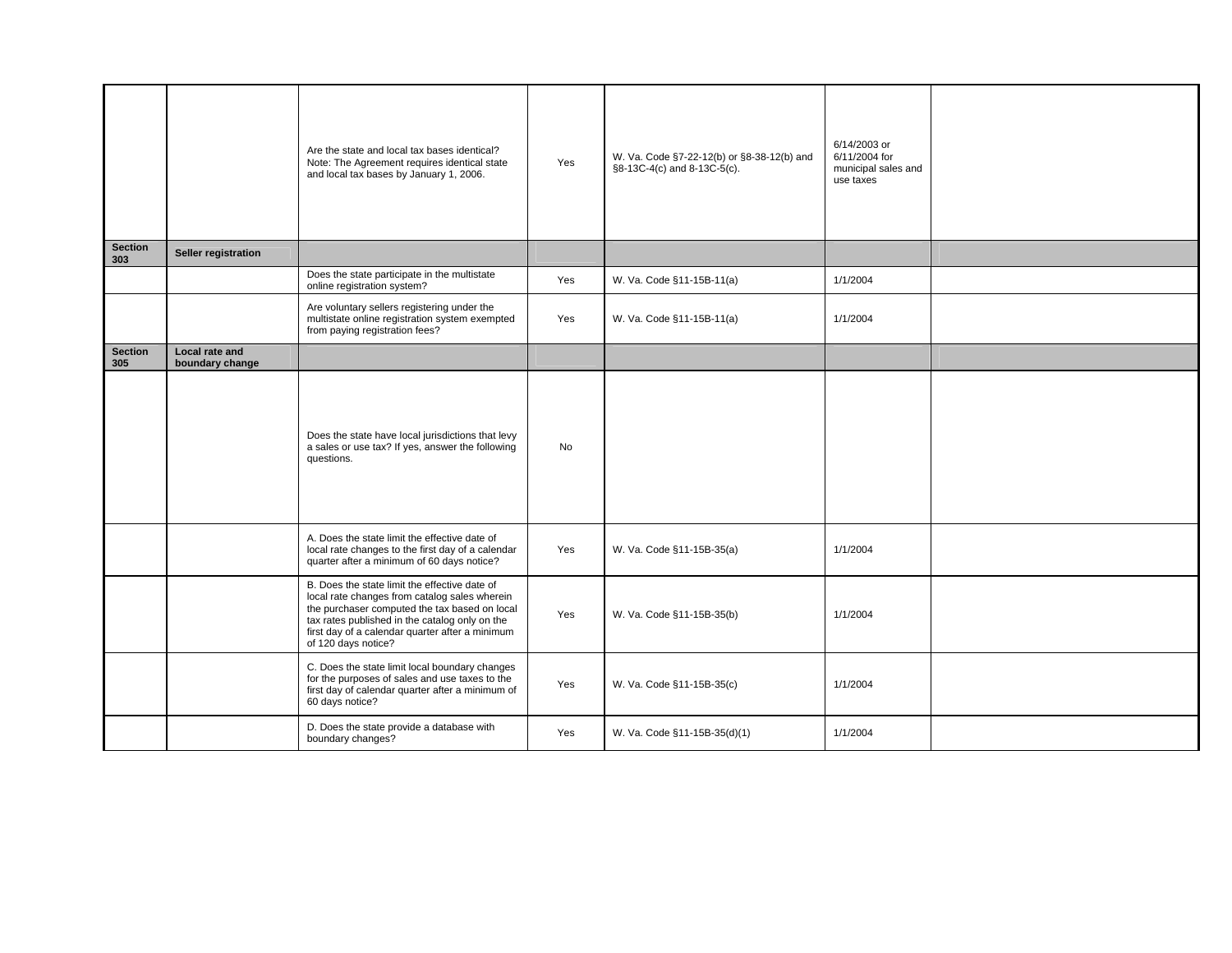|                       |                                   | Are the state and local tax bases identical?<br>Note: The Agreement requires identical state<br>and local tax bases by January 1, 2006.                                                                                                                                     | Yes | W. Va. Code §7-22-12(b) or §8-38-12(b) and<br>§8-13C-4(c) and 8-13C-5(c). | 6/14/2003 or<br>6/11/2004 for<br>municipal sales and<br>use taxes |  |
|-----------------------|-----------------------------------|-----------------------------------------------------------------------------------------------------------------------------------------------------------------------------------------------------------------------------------------------------------------------------|-----|---------------------------------------------------------------------------|-------------------------------------------------------------------|--|
| <b>Section</b><br>303 | Seller registration               |                                                                                                                                                                                                                                                                             |     |                                                                           |                                                                   |  |
|                       |                                   | Does the state participate in the multistate<br>online registration system?                                                                                                                                                                                                 | Yes | W. Va. Code §11-15B-11(a)                                                 | 1/1/2004                                                          |  |
|                       |                                   | Are voluntary sellers registering under the<br>multistate online registration system exempted<br>from paying registration fees?                                                                                                                                             | Yes | W. Va. Code §11-15B-11(a)                                                 | 1/1/2004                                                          |  |
| <b>Section</b><br>305 | Local rate and<br>boundary change |                                                                                                                                                                                                                                                                             |     |                                                                           |                                                                   |  |
|                       |                                   | Does the state have local jurisdictions that levy<br>a sales or use tax? If yes, answer the following<br>questions.                                                                                                                                                         | No  |                                                                           |                                                                   |  |
|                       |                                   | A. Does the state limit the effective date of<br>local rate changes to the first day of a calendar<br>quarter after a minimum of 60 days notice?                                                                                                                            | Yes | W. Va. Code §11-15B-35(a)                                                 | 1/1/2004                                                          |  |
|                       |                                   | B. Does the state limit the effective date of<br>local rate changes from catalog sales wherein<br>the purchaser computed the tax based on local<br>tax rates published in the catalog only on the<br>first day of a calendar quarter after a minimum<br>of 120 days notice? | Yes | W. Va. Code §11-15B-35(b)                                                 | 1/1/2004                                                          |  |
|                       |                                   | C. Does the state limit local boundary changes<br>for the purposes of sales and use taxes to the<br>first day of calendar quarter after a minimum of<br>60 days notice?                                                                                                     | Yes | W. Va. Code §11-15B-35(c)                                                 | 1/1/2004                                                          |  |
|                       |                                   | D. Does the state provide a database with<br>boundary changes?                                                                                                                                                                                                              | Yes | W. Va. Code §11-15B-35(d)(1)                                              | 1/1/2004                                                          |  |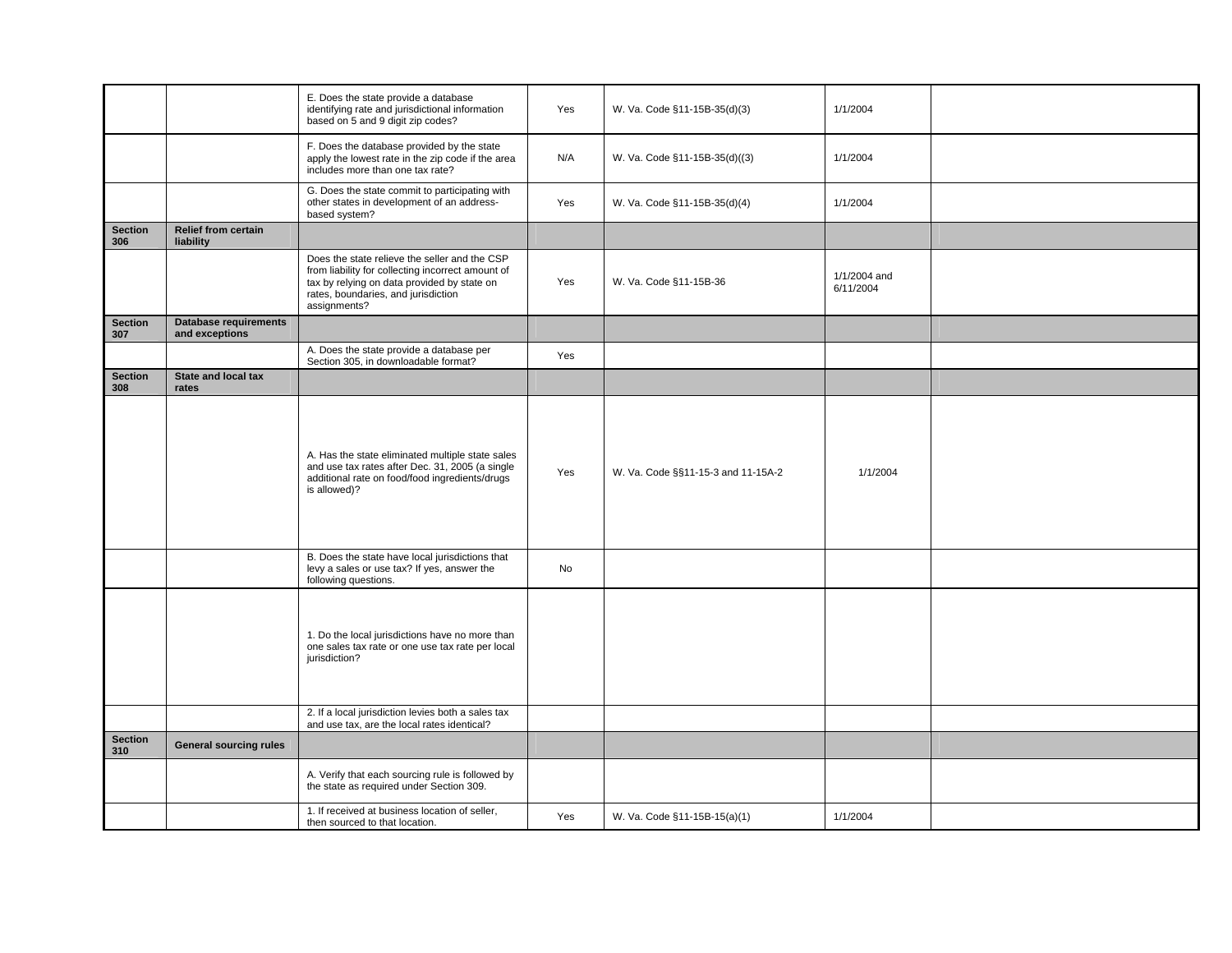|                       |                                                | E. Does the state provide a database<br>identifying rate and jurisdictional information<br>based on 5 and 9 digit zip codes?                                                                             | Yes | W. Va. Code §11-15B-35(d)(3)       | 1/1/2004                  |  |
|-----------------------|------------------------------------------------|----------------------------------------------------------------------------------------------------------------------------------------------------------------------------------------------------------|-----|------------------------------------|---------------------------|--|
|                       |                                                | F. Does the database provided by the state<br>apply the lowest rate in the zip code if the area<br>includes more than one tax rate?                                                                      | N/A | W. Va. Code §11-15B-35(d)((3)      | 1/1/2004                  |  |
|                       |                                                | G. Does the state commit to participating with<br>other states in development of an address-<br>based system?                                                                                            | Yes | W. Va. Code §11-15B-35(d)(4)       | 1/1/2004                  |  |
| <b>Section</b><br>306 | <b>Relief from certain</b><br>liability        |                                                                                                                                                                                                          |     |                                    |                           |  |
|                       |                                                | Does the state relieve the seller and the CSP<br>from liability for collecting incorrect amount of<br>tax by relying on data provided by state on<br>rates, boundaries, and jurisdiction<br>assignments? | Yes | W. Va. Code §11-15B-36             | 1/1/2004 and<br>6/11/2004 |  |
| <b>Section</b><br>307 | <b>Database requirements</b><br>and exceptions |                                                                                                                                                                                                          |     |                                    |                           |  |
|                       |                                                | A. Does the state provide a database per<br>Section 305, in downloadable format?                                                                                                                         | Yes |                                    |                           |  |
| <b>Section</b><br>308 | State and local tax<br>rates                   |                                                                                                                                                                                                          |     |                                    |                           |  |
|                       |                                                | A. Has the state eliminated multiple state sales<br>and use tax rates after Dec. 31, 2005 (a single<br>additional rate on food/food ingredients/drugs<br>is allowed)?                                    | Yes | W. Va. Code §§11-15-3 and 11-15A-2 | 1/1/2004                  |  |
|                       |                                                | B. Does the state have local jurisdictions that<br>levy a sales or use tax? If yes, answer the<br>following questions.                                                                                   | No  |                                    |                           |  |
|                       |                                                | 1. Do the local jurisdictions have no more than<br>one sales tax rate or one use tax rate per local<br>jurisdiction?                                                                                     |     |                                    |                           |  |
|                       |                                                | 2. If a local jurisdiction levies both a sales tax<br>and use tax, are the local rates identical?                                                                                                        |     |                                    |                           |  |
| <b>Section</b><br>310 | <b>General sourcing rules</b>                  |                                                                                                                                                                                                          |     |                                    |                           |  |
|                       |                                                | A. Verify that each sourcing rule is followed by<br>the state as required under Section 309.                                                                                                             |     |                                    |                           |  |
|                       |                                                | 1. If received at business location of seller,<br>then sourced to that location.                                                                                                                         | Yes | W. Va. Code §11-15B-15(a)(1)       | 1/1/2004                  |  |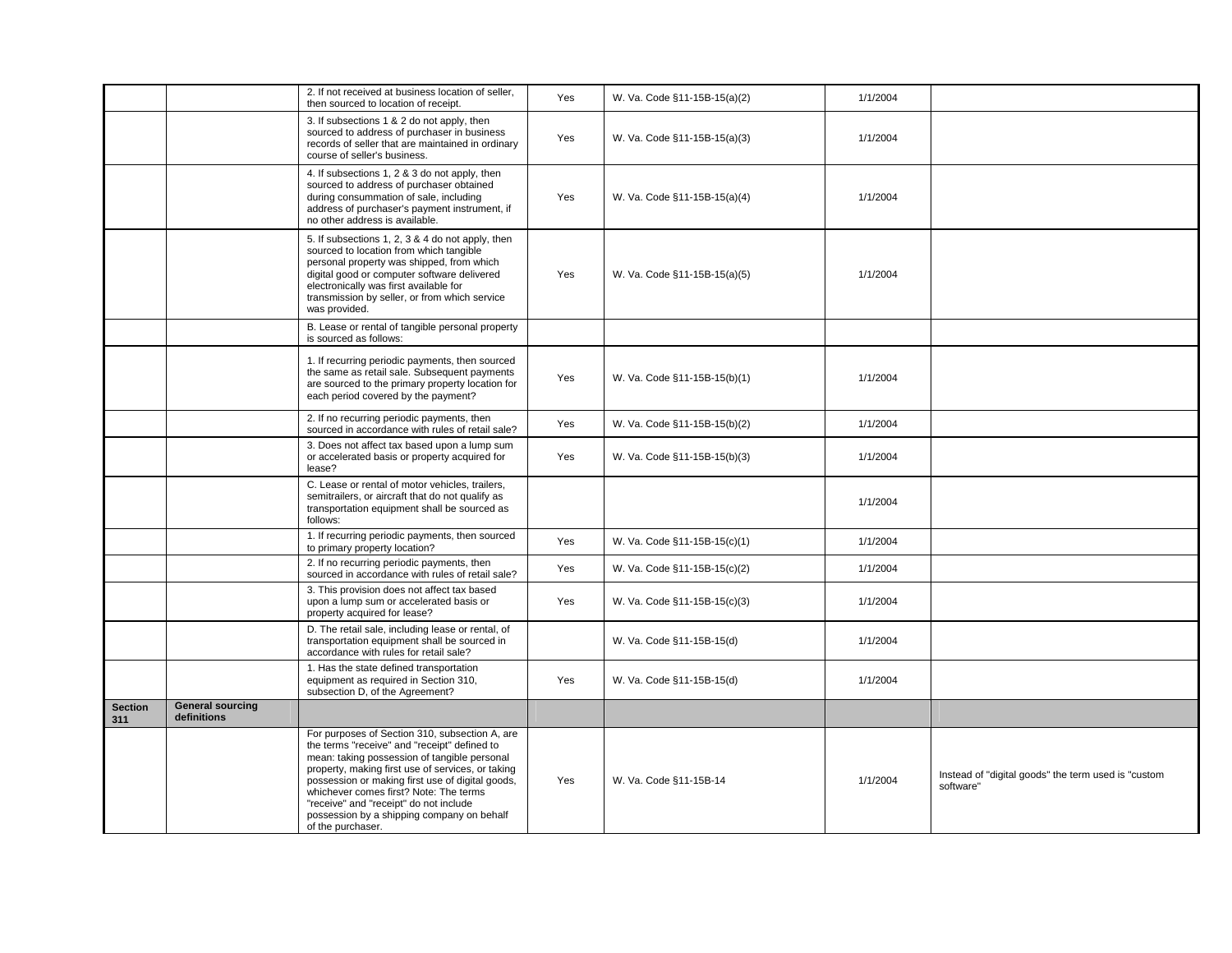|                       |                                        | 2. If not received at business location of seller,<br>then sourced to location of receipt.                                                                                                                                                                                                                                                                                                                     | Yes | W. Va. Code §11-15B-15(a)(2) | 1/1/2004 |                                                                  |
|-----------------------|----------------------------------------|----------------------------------------------------------------------------------------------------------------------------------------------------------------------------------------------------------------------------------------------------------------------------------------------------------------------------------------------------------------------------------------------------------------|-----|------------------------------|----------|------------------------------------------------------------------|
|                       |                                        | 3. If subsections 1 & 2 do not apply, then<br>sourced to address of purchaser in business<br>records of seller that are maintained in ordinary<br>course of seller's business.                                                                                                                                                                                                                                 | Yes | W. Va. Code §11-15B-15(a)(3) | 1/1/2004 |                                                                  |
|                       |                                        | 4. If subsections 1, 2 & 3 do not apply, then<br>sourced to address of purchaser obtained<br>during consummation of sale, including<br>address of purchaser's payment instrument, if<br>no other address is available.                                                                                                                                                                                         | Yes | W. Va. Code §11-15B-15(a)(4) | 1/1/2004 |                                                                  |
|                       |                                        | 5. If subsections 1, 2, 3 & 4 do not apply, then<br>sourced to location from which tangible<br>personal property was shipped, from which<br>digital good or computer software delivered<br>electronically was first available for<br>transmission by seller, or from which service<br>was provided.                                                                                                            | Yes | W. Va. Code §11-15B-15(a)(5) | 1/1/2004 |                                                                  |
|                       |                                        | B. Lease or rental of tangible personal property<br>is sourced as follows:                                                                                                                                                                                                                                                                                                                                     |     |                              |          |                                                                  |
|                       |                                        | 1. If recurring periodic payments, then sourced<br>the same as retail sale. Subsequent payments<br>are sourced to the primary property location for<br>each period covered by the payment?                                                                                                                                                                                                                     | Yes | W. Va. Code §11-15B-15(b)(1) | 1/1/2004 |                                                                  |
|                       |                                        | 2. If no recurring periodic payments, then<br>sourced in accordance with rules of retail sale?                                                                                                                                                                                                                                                                                                                 | Yes | W. Va. Code §11-15B-15(b)(2) | 1/1/2004 |                                                                  |
|                       |                                        | 3. Does not affect tax based upon a lump sum<br>or accelerated basis or property acquired for<br>lease?                                                                                                                                                                                                                                                                                                        | Yes | W. Va. Code §11-15B-15(b)(3) | 1/1/2004 |                                                                  |
|                       |                                        | C. Lease or rental of motor vehicles, trailers,<br>semitrailers, or aircraft that do not qualify as<br>transportation equipment shall be sourced as<br>follows:                                                                                                                                                                                                                                                |     |                              | 1/1/2004 |                                                                  |
|                       |                                        | 1. If recurring periodic payments, then sourced<br>to primary property location?                                                                                                                                                                                                                                                                                                                               | Yes | W. Va. Code §11-15B-15(c)(1) | 1/1/2004 |                                                                  |
|                       |                                        | 2. If no recurring periodic payments, then<br>sourced in accordance with rules of retail sale?                                                                                                                                                                                                                                                                                                                 | Yes | W. Va. Code §11-15B-15(c)(2) | 1/1/2004 |                                                                  |
|                       |                                        | 3. This provision does not affect tax based<br>upon a lump sum or accelerated basis or<br>property acquired for lease?                                                                                                                                                                                                                                                                                         | Yes | W. Va. Code §11-15B-15(c)(3) | 1/1/2004 |                                                                  |
|                       |                                        | D. The retail sale, including lease or rental, of<br>transportation equipment shall be sourced in<br>accordance with rules for retail sale?                                                                                                                                                                                                                                                                    |     | W. Va. Code §11-15B-15(d)    | 1/1/2004 |                                                                  |
|                       |                                        | 1. Has the state defined transportation<br>equipment as required in Section 310,<br>subsection D, of the Agreement?                                                                                                                                                                                                                                                                                            | Yes | W. Va. Code §11-15B-15(d)    | 1/1/2004 |                                                                  |
| <b>Section</b><br>311 | <b>General sourcing</b><br>definitions |                                                                                                                                                                                                                                                                                                                                                                                                                |     |                              |          |                                                                  |
|                       |                                        | For purposes of Section 310, subsection A, are<br>the terms "receive" and "receipt" defined to<br>mean: taking possession of tangible personal<br>property, making first use of services, or taking<br>possession or making first use of digital goods,<br>whichever comes first? Note: The terms<br>"receive" and "receipt" do not include<br>possession by a shipping company on behalf<br>of the purchaser. | Yes | W. Va. Code §11-15B-14       | 1/1/2004 | Instead of "digital goods" the term used is "custom<br>software" |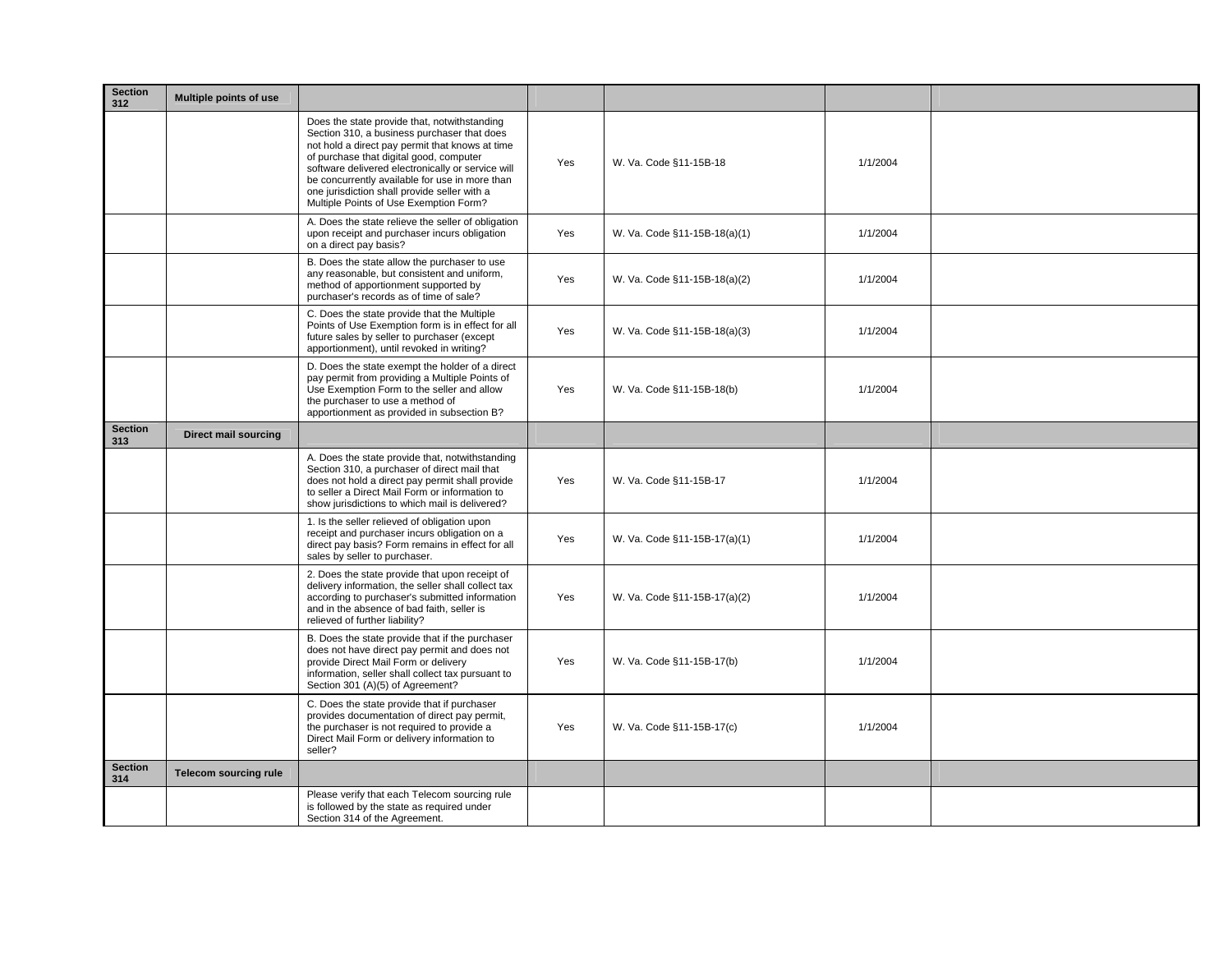| <b>Section</b><br>312 | Multiple points of use      |                                                                                                                                                                                                                                                                                                                                                                                            |     |                              |          |  |
|-----------------------|-----------------------------|--------------------------------------------------------------------------------------------------------------------------------------------------------------------------------------------------------------------------------------------------------------------------------------------------------------------------------------------------------------------------------------------|-----|------------------------------|----------|--|
|                       |                             | Does the state provide that, notwithstanding<br>Section 310, a business purchaser that does<br>not hold a direct pay permit that knows at time<br>of purchase that digital good, computer<br>software delivered electronically or service will<br>be concurrently available for use in more than<br>one jurisdiction shall provide seller with a<br>Multiple Points of Use Exemption Form? | Yes | W. Va. Code §11-15B-18       | 1/1/2004 |  |
|                       |                             | A. Does the state relieve the seller of obligation<br>upon receipt and purchaser incurs obligation<br>on a direct pay basis?                                                                                                                                                                                                                                                               | Yes | W. Va. Code §11-15B-18(a)(1) | 1/1/2004 |  |
|                       |                             | B. Does the state allow the purchaser to use<br>any reasonable, but consistent and uniform,<br>method of apportionment supported by<br>purchaser's records as of time of sale?                                                                                                                                                                                                             | Yes | W. Va. Code §11-15B-18(a)(2) | 1/1/2004 |  |
|                       |                             | C. Does the state provide that the Multiple<br>Points of Use Exemption form is in effect for all<br>future sales by seller to purchaser (except<br>apportionment), until revoked in writing?                                                                                                                                                                                               | Yes | W. Va. Code §11-15B-18(a)(3) | 1/1/2004 |  |
|                       |                             | D. Does the state exempt the holder of a direct<br>pay permit from providing a Multiple Points of<br>Use Exemption Form to the seller and allow<br>the purchaser to use a method of<br>apportionment as provided in subsection B?                                                                                                                                                          | Yes | W. Va. Code §11-15B-18(b)    | 1/1/2004 |  |
| <b>Section</b><br>313 | <b>Direct mail sourcing</b> |                                                                                                                                                                                                                                                                                                                                                                                            |     |                              |          |  |
|                       |                             | A. Does the state provide that, notwithstanding<br>Section 310, a purchaser of direct mail that<br>does not hold a direct pay permit shall provide<br>to seller a Direct Mail Form or information to<br>show jurisdictions to which mail is delivered?                                                                                                                                     | Yes | W. Va. Code §11-15B-17       | 1/1/2004 |  |
|                       |                             | 1. Is the seller relieved of obligation upon<br>receipt and purchaser incurs obligation on a<br>direct pay basis? Form remains in effect for all<br>sales by seller to purchaser.                                                                                                                                                                                                          | Yes | W. Va. Code §11-15B-17(a)(1) | 1/1/2004 |  |
|                       |                             | 2. Does the state provide that upon receipt of<br>delivery information, the seller shall collect tax<br>according to purchaser's submitted information<br>and in the absence of bad faith, seller is<br>relieved of further liability?                                                                                                                                                     | Yes | W. Va. Code §11-15B-17(a)(2) | 1/1/2004 |  |
|                       |                             | B. Does the state provide that if the purchaser<br>does not have direct pay permit and does not<br>provide Direct Mail Form or delivery<br>information, seller shall collect tax pursuant to<br>Section 301 (A)(5) of Agreement?                                                                                                                                                           | Yes | W. Va. Code §11-15B-17(b)    | 1/1/2004 |  |
|                       |                             | C. Does the state provide that if purchaser<br>provides documentation of direct pay permit,<br>the purchaser is not required to provide a<br>Direct Mail Form or delivery information to<br>seller?                                                                                                                                                                                        | Yes | W. Va. Code §11-15B-17(c)    | 1/1/2004 |  |
| <b>Section</b><br>314 | Telecom sourcing rule       |                                                                                                                                                                                                                                                                                                                                                                                            |     |                              |          |  |
|                       |                             | Please verify that each Telecom sourcing rule<br>is followed by the state as required under<br>Section 314 of the Agreement.                                                                                                                                                                                                                                                               |     |                              |          |  |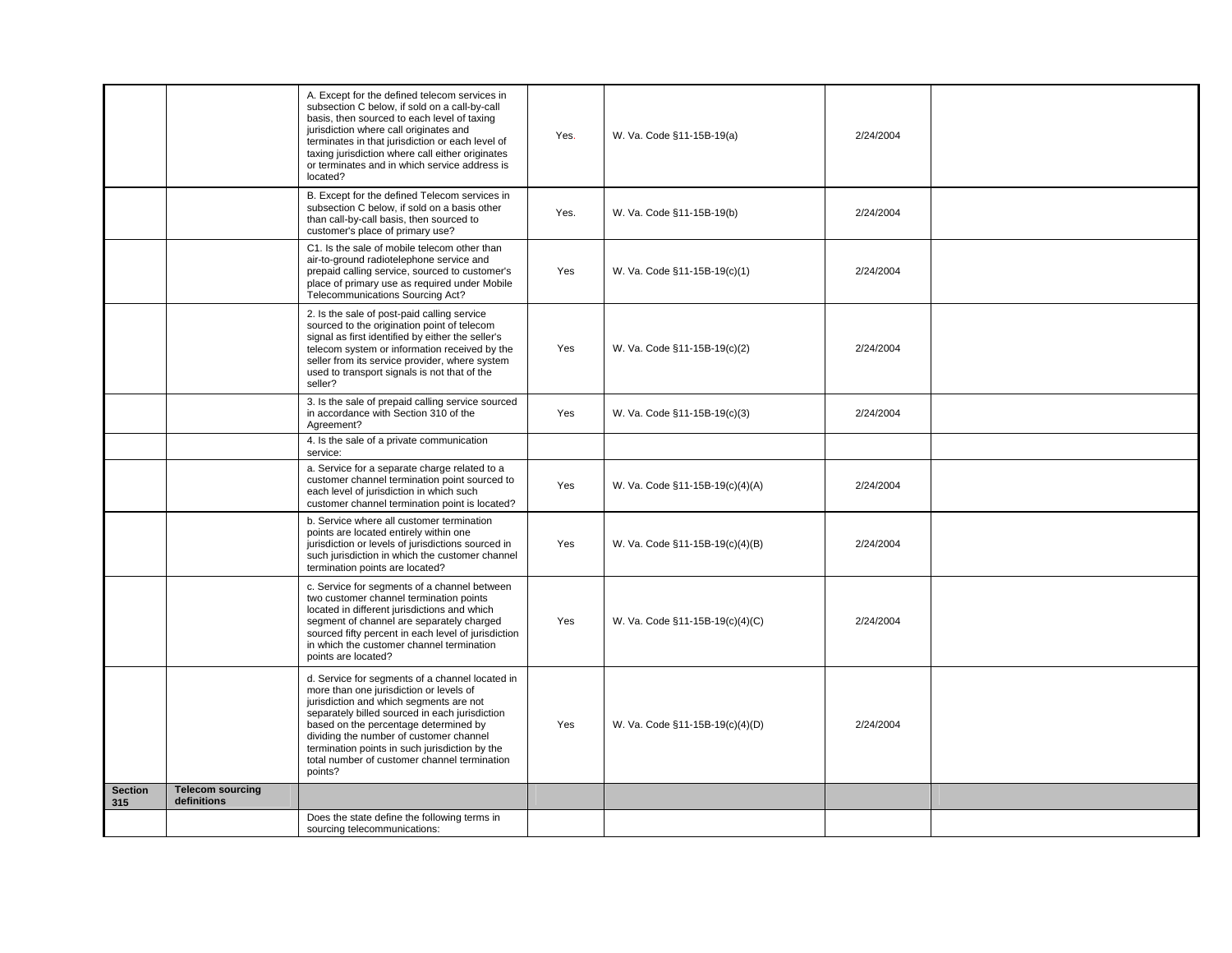|                       |                                        | A. Except for the defined telecom services in<br>subsection C below, if sold on a call-by-call<br>basis, then sourced to each level of taxing<br>jurisdiction where call originates and<br>terminates in that jurisdiction or each level of<br>taxing jurisdiction where call either originates<br>or terminates and in which service address is<br>located?                             | Yes. | W. Va. Code §11-15B-19(a)       | 2/24/2004 |  |
|-----------------------|----------------------------------------|------------------------------------------------------------------------------------------------------------------------------------------------------------------------------------------------------------------------------------------------------------------------------------------------------------------------------------------------------------------------------------------|------|---------------------------------|-----------|--|
|                       |                                        | B. Except for the defined Telecom services in<br>subsection C below, if sold on a basis other<br>than call-by-call basis, then sourced to<br>customer's place of primary use?                                                                                                                                                                                                            | Yes. | W. Va. Code §11-15B-19(b)       | 2/24/2004 |  |
|                       |                                        | C1. Is the sale of mobile telecom other than<br>air-to-ground radiotelephone service and<br>prepaid calling service, sourced to customer's<br>place of primary use as required under Mobile<br>Telecommunications Sourcing Act?                                                                                                                                                          | Yes  | W. Va. Code §11-15B-19(c)(1)    | 2/24/2004 |  |
|                       |                                        | 2. Is the sale of post-paid calling service<br>sourced to the origination point of telecom<br>signal as first identified by either the seller's<br>telecom system or information received by the<br>seller from its service provider, where system<br>used to transport signals is not that of the<br>seller?                                                                            | Yes  | W. Va. Code §11-15B-19(c)(2)    | 2/24/2004 |  |
|                       |                                        | 3. Is the sale of prepaid calling service sourced<br>in accordance with Section 310 of the<br>Agreement?                                                                                                                                                                                                                                                                                 | Yes  | W. Va. Code §11-15B-19(c)(3)    | 2/24/2004 |  |
|                       |                                        | 4. Is the sale of a private communication<br>service:                                                                                                                                                                                                                                                                                                                                    |      |                                 |           |  |
|                       |                                        | a. Service for a separate charge related to a<br>customer channel termination point sourced to<br>each level of jurisdiction in which such<br>customer channel termination point is located?                                                                                                                                                                                             | Yes  | W. Va. Code §11-15B-19(c)(4)(A) | 2/24/2004 |  |
|                       |                                        | b. Service where all customer termination<br>points are located entirely within one<br>jurisdiction or levels of jurisdictions sourced in<br>such jurisdiction in which the customer channel<br>termination points are located?                                                                                                                                                          | Yes  | W. Va. Code §11-15B-19(c)(4)(B) | 2/24/2004 |  |
|                       |                                        | c. Service for segments of a channel between<br>two customer channel termination points<br>located in different jurisdictions and which<br>segment of channel are separately charged<br>sourced fifty percent in each level of jurisdiction<br>in which the customer channel termination<br>points are located?                                                                          | Yes  | W. Va. Code §11-15B-19(c)(4)(C) | 2/24/2004 |  |
|                       |                                        | d. Service for segments of a channel located in<br>more than one jurisdiction or levels of<br>jurisdiction and which segments are not<br>separately billed sourced in each jurisdiction<br>based on the percentage determined by<br>dividing the number of customer channel<br>termination points in such jurisdiction by the<br>total number of customer channel termination<br>points? | Yes  | W. Va. Code §11-15B-19(c)(4)(D) | 2/24/2004 |  |
| <b>Section</b><br>315 | <b>Telecom sourcing</b><br>definitions |                                                                                                                                                                                                                                                                                                                                                                                          |      |                                 |           |  |
|                       |                                        | Does the state define the following terms in<br>sourcing telecommunications:                                                                                                                                                                                                                                                                                                             |      |                                 |           |  |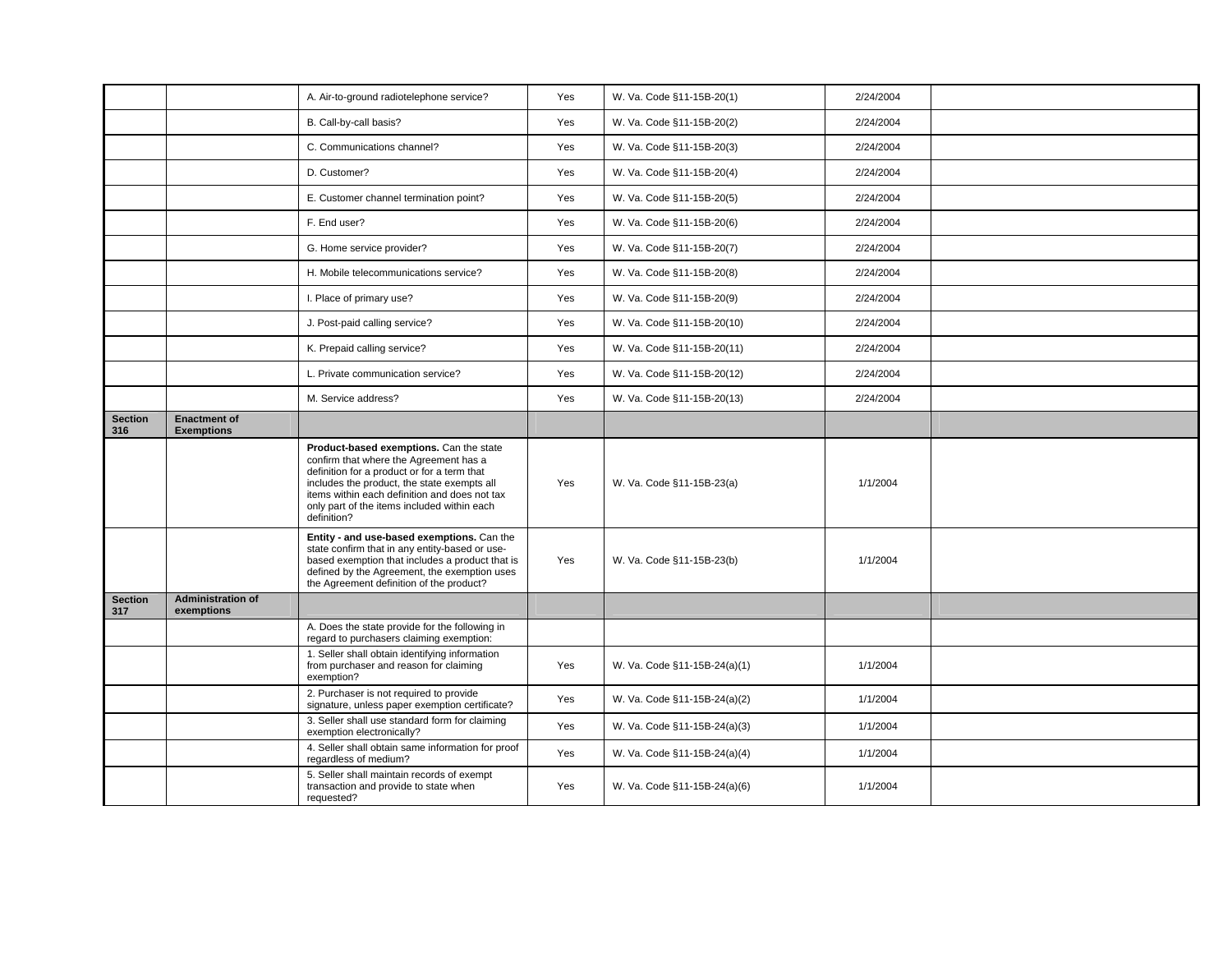|                       |                                          | A. Air-to-ground radiotelephone service?                                                                                                                                                                                                                                                       | Yes | W. Va. Code §11-15B-20(1)    | 2/24/2004 |  |
|-----------------------|------------------------------------------|------------------------------------------------------------------------------------------------------------------------------------------------------------------------------------------------------------------------------------------------------------------------------------------------|-----|------------------------------|-----------|--|
|                       |                                          | B. Call-by-call basis?                                                                                                                                                                                                                                                                         | Yes | W. Va. Code §11-15B-20(2)    | 2/24/2004 |  |
|                       |                                          | C. Communications channel?                                                                                                                                                                                                                                                                     | Yes | W. Va. Code §11-15B-20(3)    | 2/24/2004 |  |
|                       |                                          | D. Customer?                                                                                                                                                                                                                                                                                   | Yes | W. Va. Code §11-15B-20(4)    | 2/24/2004 |  |
|                       |                                          | E. Customer channel termination point?                                                                                                                                                                                                                                                         | Yes | W. Va. Code §11-15B-20(5)    | 2/24/2004 |  |
|                       |                                          | F. End user?                                                                                                                                                                                                                                                                                   | Yes | W. Va. Code §11-15B-20(6)    | 2/24/2004 |  |
|                       |                                          | G. Home service provider?                                                                                                                                                                                                                                                                      | Yes | W. Va. Code §11-15B-20(7)    | 2/24/2004 |  |
|                       |                                          | H. Mobile telecommunications service?                                                                                                                                                                                                                                                          | Yes | W. Va. Code §11-15B-20(8)    | 2/24/2004 |  |
|                       |                                          | I. Place of primary use?                                                                                                                                                                                                                                                                       | Yes | W. Va. Code §11-15B-20(9)    | 2/24/2004 |  |
|                       |                                          | J. Post-paid calling service?                                                                                                                                                                                                                                                                  | Yes | W. Va. Code §11-15B-20(10)   | 2/24/2004 |  |
|                       |                                          | K. Prepaid calling service?                                                                                                                                                                                                                                                                    | Yes | W. Va. Code §11-15B-20(11)   | 2/24/2004 |  |
|                       |                                          | L. Private communication service?                                                                                                                                                                                                                                                              | Yes | W. Va. Code §11-15B-20(12)   | 2/24/2004 |  |
|                       |                                          | M. Service address?                                                                                                                                                                                                                                                                            | Yes | W. Va. Code §11-15B-20(13)   | 2/24/2004 |  |
| <b>Section</b><br>316 | <b>Enactment of</b><br><b>Exemptions</b> |                                                                                                                                                                                                                                                                                                |     |                              |           |  |
|                       |                                          | Product-based exemptions. Can the state<br>confirm that where the Agreement has a<br>definition for a product or for a term that<br>includes the product, the state exempts all<br>items within each definition and does not tax<br>only part of the items included within each<br>definition? | Yes | W. Va. Code §11-15B-23(a)    | 1/1/2004  |  |
|                       |                                          | Entity - and use-based exemptions. Can the<br>state confirm that in any entity-based or use-<br>based exemption that includes a product that is<br>defined by the Agreement, the exemption uses<br>the Agreement definition of the product?                                                    | Yes | W. Va. Code §11-15B-23(b)    | 1/1/2004  |  |
| <b>Section</b><br>317 | <b>Administration of</b><br>exemptions   |                                                                                                                                                                                                                                                                                                |     |                              |           |  |
|                       |                                          | A. Does the state provide for the following in<br>regard to purchasers claiming exemption:                                                                                                                                                                                                     |     |                              |           |  |
|                       |                                          | 1. Seller shall obtain identifying information<br>from purchaser and reason for claiming<br>exemption?                                                                                                                                                                                         | Yes | W. Va. Code §11-15B-24(a)(1) | 1/1/2004  |  |
|                       |                                          | 2. Purchaser is not required to provide<br>signature, unless paper exemption certificate?                                                                                                                                                                                                      | Yes | W. Va. Code §11-15B-24(a)(2) | 1/1/2004  |  |
|                       |                                          | 3. Seller shall use standard form for claiming<br>exemption electronically?                                                                                                                                                                                                                    | Yes | W. Va. Code §11-15B-24(a)(3) | 1/1/2004  |  |
|                       |                                          | 4. Seller shall obtain same information for proof<br>regardless of medium?                                                                                                                                                                                                                     | Yes | W. Va. Code §11-15B-24(a)(4) | 1/1/2004  |  |
|                       |                                          | 5. Seller shall maintain records of exempt<br>transaction and provide to state when<br>requested?                                                                                                                                                                                              | Yes | W. Va. Code §11-15B-24(a)(6) | 1/1/2004  |  |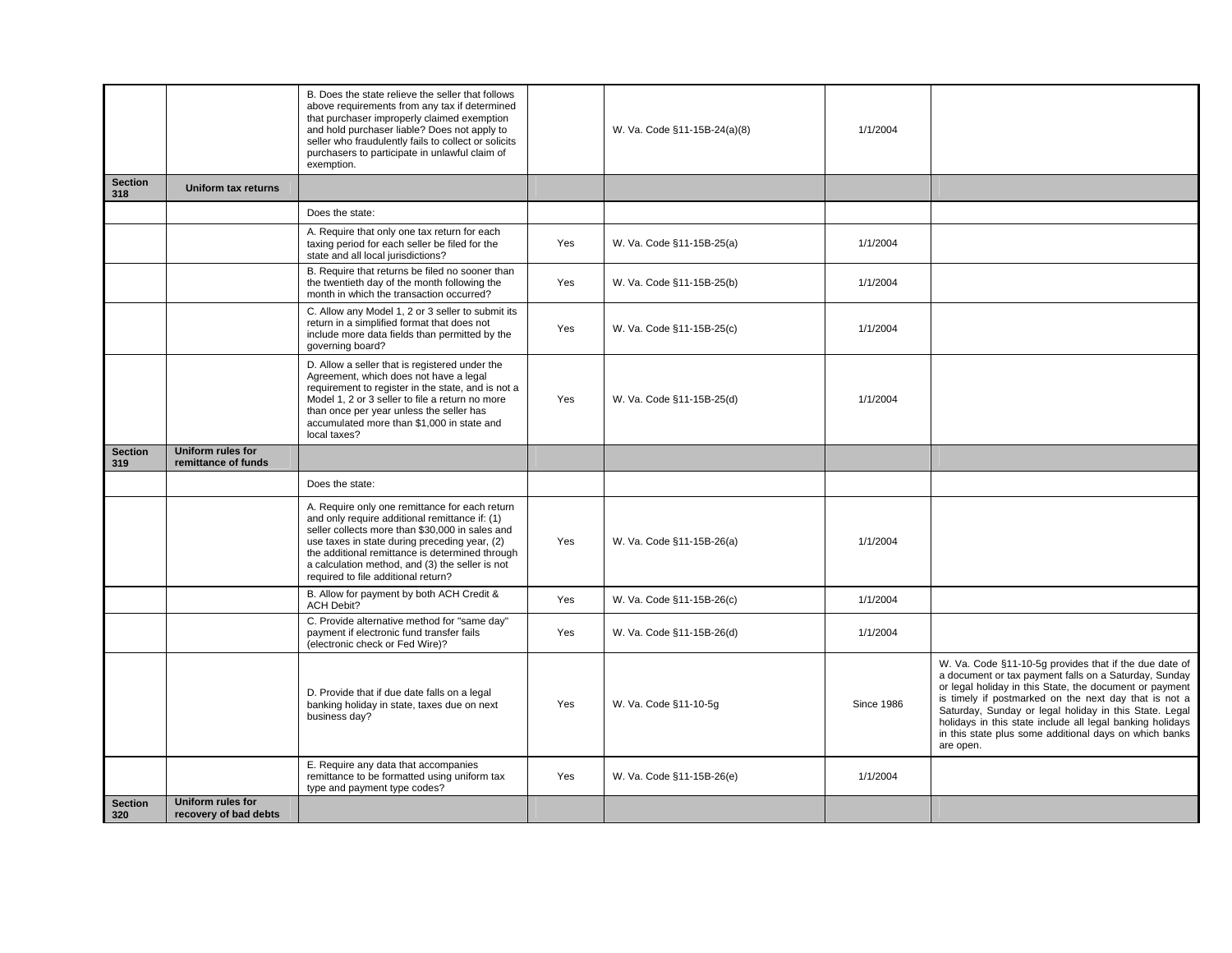|                       |                                            | B. Does the state relieve the seller that follows<br>above requirements from any tax if determined<br>that purchaser improperly claimed exemption<br>and hold purchaser liable? Does not apply to<br>seller who fraudulently fails to collect or solicits<br>purchasers to participate in unlawful claim of<br>exemption.                         |            | W. Va. Code §11-15B-24(a)(8) | 1/1/2004          |                                                                                                                                                                                                                                                                                                                                                                                                                                   |
|-----------------------|--------------------------------------------|---------------------------------------------------------------------------------------------------------------------------------------------------------------------------------------------------------------------------------------------------------------------------------------------------------------------------------------------------|------------|------------------------------|-------------------|-----------------------------------------------------------------------------------------------------------------------------------------------------------------------------------------------------------------------------------------------------------------------------------------------------------------------------------------------------------------------------------------------------------------------------------|
| <b>Section</b><br>318 | <b>Uniform tax returns</b>                 |                                                                                                                                                                                                                                                                                                                                                   |            |                              |                   |                                                                                                                                                                                                                                                                                                                                                                                                                                   |
|                       |                                            | Does the state:                                                                                                                                                                                                                                                                                                                                   |            |                              |                   |                                                                                                                                                                                                                                                                                                                                                                                                                                   |
|                       |                                            | A. Require that only one tax return for each<br>taxing period for each seller be filed for the<br>state and all local jurisdictions?                                                                                                                                                                                                              | Yes        | W. Va. Code §11-15B-25(a)    | 1/1/2004          |                                                                                                                                                                                                                                                                                                                                                                                                                                   |
|                       |                                            | B. Require that returns be filed no sooner than<br>the twentieth day of the month following the<br>month in which the transaction occurred?                                                                                                                                                                                                       | Yes        | W. Va. Code §11-15B-25(b)    | 1/1/2004          |                                                                                                                                                                                                                                                                                                                                                                                                                                   |
|                       |                                            | C. Allow any Model 1, 2 or 3 seller to submit its<br>return in a simplified format that does not<br>include more data fields than permitted by the<br>qoverning board?                                                                                                                                                                            | Yes        | W. Va. Code §11-15B-25(c)    | 1/1/2004          |                                                                                                                                                                                                                                                                                                                                                                                                                                   |
|                       |                                            | D. Allow a seller that is registered under the<br>Agreement, which does not have a legal<br>requirement to register in the state, and is not a<br>Model 1, 2 or 3 seller to file a return no more<br>than once per year unless the seller has<br>accumulated more than \$1,000 in state and<br>local taxes?                                       | Yes        | W. Va. Code §11-15B-25(d)    | 1/1/2004          |                                                                                                                                                                                                                                                                                                                                                                                                                                   |
| <b>Section</b><br>319 | Uniform rules for<br>remittance of funds   |                                                                                                                                                                                                                                                                                                                                                   |            |                              |                   |                                                                                                                                                                                                                                                                                                                                                                                                                                   |
|                       |                                            | Does the state:                                                                                                                                                                                                                                                                                                                                   |            |                              |                   |                                                                                                                                                                                                                                                                                                                                                                                                                                   |
|                       |                                            | A. Require only one remittance for each return<br>and only require additional remittance if: (1)<br>seller collects more than \$30,000 in sales and<br>use taxes in state during preceding year, (2)<br>the additional remittance is determined through<br>a calculation method, and (3) the seller is not<br>required to file additional return? | Yes        | W. Va. Code §11-15B-26(a)    | 1/1/2004          |                                                                                                                                                                                                                                                                                                                                                                                                                                   |
|                       |                                            | B. Allow for payment by both ACH Credit &<br><b>ACH Debit?</b>                                                                                                                                                                                                                                                                                    | Yes        | W. Va. Code §11-15B-26(c)    | 1/1/2004          |                                                                                                                                                                                                                                                                                                                                                                                                                                   |
|                       |                                            | C. Provide alternative method for "same day"<br>payment if electronic fund transfer fails<br>(electronic check or Fed Wire)?                                                                                                                                                                                                                      | Yes        | W. Va. Code §11-15B-26(d)    | 1/1/2004          |                                                                                                                                                                                                                                                                                                                                                                                                                                   |
|                       |                                            | D. Provide that if due date falls on a legal<br>banking holiday in state, taxes due on next<br>business day?                                                                                                                                                                                                                                      | <b>Yes</b> | W. Va. Code §11-10-5q        | <b>Since 1986</b> | W. Va. Code §11-10-5g provides that if the due date of<br>a document or tax payment falls on a Saturday, Sunday<br>or legal holiday in this State, the document or payment<br>is timely if postmarked on the next day that is not a<br>Saturday, Sunday or legal holiday in this State. Legal<br>holidays in this state include all legal banking holidays<br>in this state plus some additional days on which banks<br>are open. |
|                       |                                            | E. Require any data that accompanies<br>remittance to be formatted using uniform tax<br>type and payment type codes?                                                                                                                                                                                                                              | Yes        | W. Va. Code §11-15B-26(e)    | 1/1/2004          |                                                                                                                                                                                                                                                                                                                                                                                                                                   |
| <b>Section</b><br>320 | Uniform rules for<br>recovery of bad debts |                                                                                                                                                                                                                                                                                                                                                   |            |                              |                   |                                                                                                                                                                                                                                                                                                                                                                                                                                   |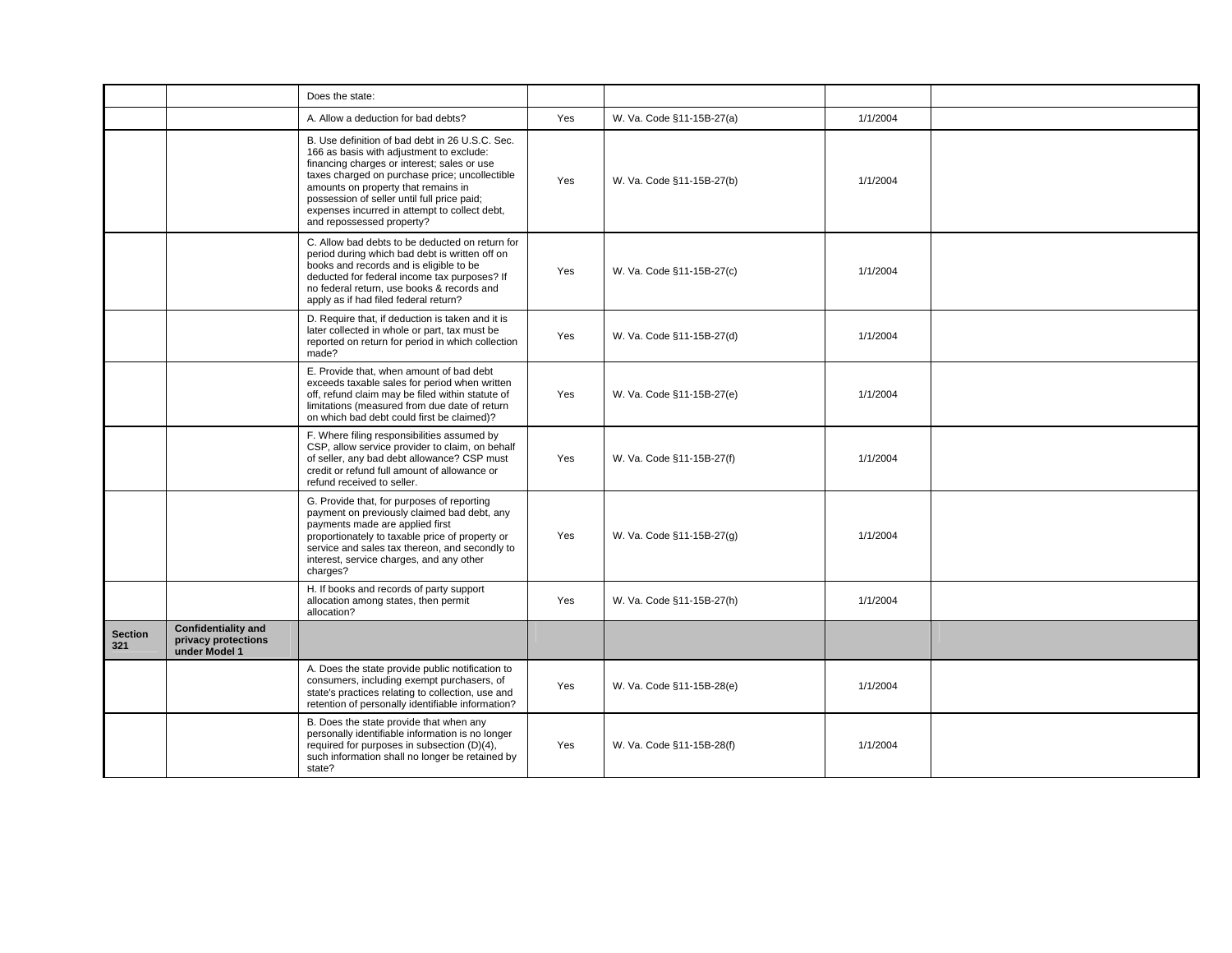|                       |                                                                    | Does the state:                                                                                                                                                                                                                                                                                                                                                  |     |                           |          |  |
|-----------------------|--------------------------------------------------------------------|------------------------------------------------------------------------------------------------------------------------------------------------------------------------------------------------------------------------------------------------------------------------------------------------------------------------------------------------------------------|-----|---------------------------|----------|--|
|                       |                                                                    | A. Allow a deduction for bad debts?                                                                                                                                                                                                                                                                                                                              | Yes | W. Va. Code §11-15B-27(a) | 1/1/2004 |  |
|                       |                                                                    | B. Use definition of bad debt in 26 U.S.C. Sec.<br>166 as basis with adjustment to exclude:<br>financing charges or interest; sales or use<br>taxes charged on purchase price; uncollectible<br>amounts on property that remains in<br>possession of seller until full price paid;<br>expenses incurred in attempt to collect debt,<br>and repossessed property? | Yes | W. Va. Code §11-15B-27(b) | 1/1/2004 |  |
|                       |                                                                    | C. Allow bad debts to be deducted on return for<br>period during which bad debt is written off on<br>books and records and is eligible to be<br>deducted for federal income tax purposes? If<br>no federal return, use books & records and<br>apply as if had filed federal return?                                                                              | Yes | W. Va. Code §11-15B-27(c) | 1/1/2004 |  |
|                       |                                                                    | D. Require that, if deduction is taken and it is<br>later collected in whole or part, tax must be<br>reported on return for period in which collection<br>made?                                                                                                                                                                                                  | Yes | W. Va. Code §11-15B-27(d) | 1/1/2004 |  |
|                       |                                                                    | E. Provide that, when amount of bad debt<br>exceeds taxable sales for period when written<br>off, refund claim may be filed within statute of<br>limitations (measured from due date of return<br>on which bad debt could first be claimed)?                                                                                                                     | Yes | W. Va. Code §11-15B-27(e) | 1/1/2004 |  |
|                       |                                                                    | F. Where filing responsibilities assumed by<br>CSP, allow service provider to claim, on behalf<br>of seller, any bad debt allowance? CSP must<br>credit or refund full amount of allowance or<br>refund received to seller.                                                                                                                                      | Yes | W. Va. Code §11-15B-27(f) | 1/1/2004 |  |
|                       |                                                                    | G. Provide that, for purposes of reporting<br>payment on previously claimed bad debt, any<br>payments made are applied first<br>proportionately to taxable price of property or<br>service and sales tax thereon, and secondly to<br>interest, service charges, and any other<br>charges?                                                                        | Yes | W. Va. Code §11-15B-27(g) | 1/1/2004 |  |
|                       |                                                                    | H. If books and records of party support<br>allocation among states, then permit<br>allocation?                                                                                                                                                                                                                                                                  | Yes | W. Va. Code §11-15B-27(h) | 1/1/2004 |  |
| <b>Section</b><br>321 | <b>Confidentiality and</b><br>privacy protections<br>under Model 1 |                                                                                                                                                                                                                                                                                                                                                                  |     |                           |          |  |
|                       |                                                                    | A. Does the state provide public notification to<br>consumers, including exempt purchasers, of<br>state's practices relating to collection, use and<br>retention of personally identifiable information?                                                                                                                                                         | Yes | W. Va. Code §11-15B-28(e) | 1/1/2004 |  |
|                       |                                                                    | B. Does the state provide that when any<br>personally identifiable information is no longer<br>required for purposes in subsection (D)(4),<br>such information shall no longer be retained by<br>state?                                                                                                                                                          | Yes | W. Va. Code §11-15B-28(f) | 1/1/2004 |  |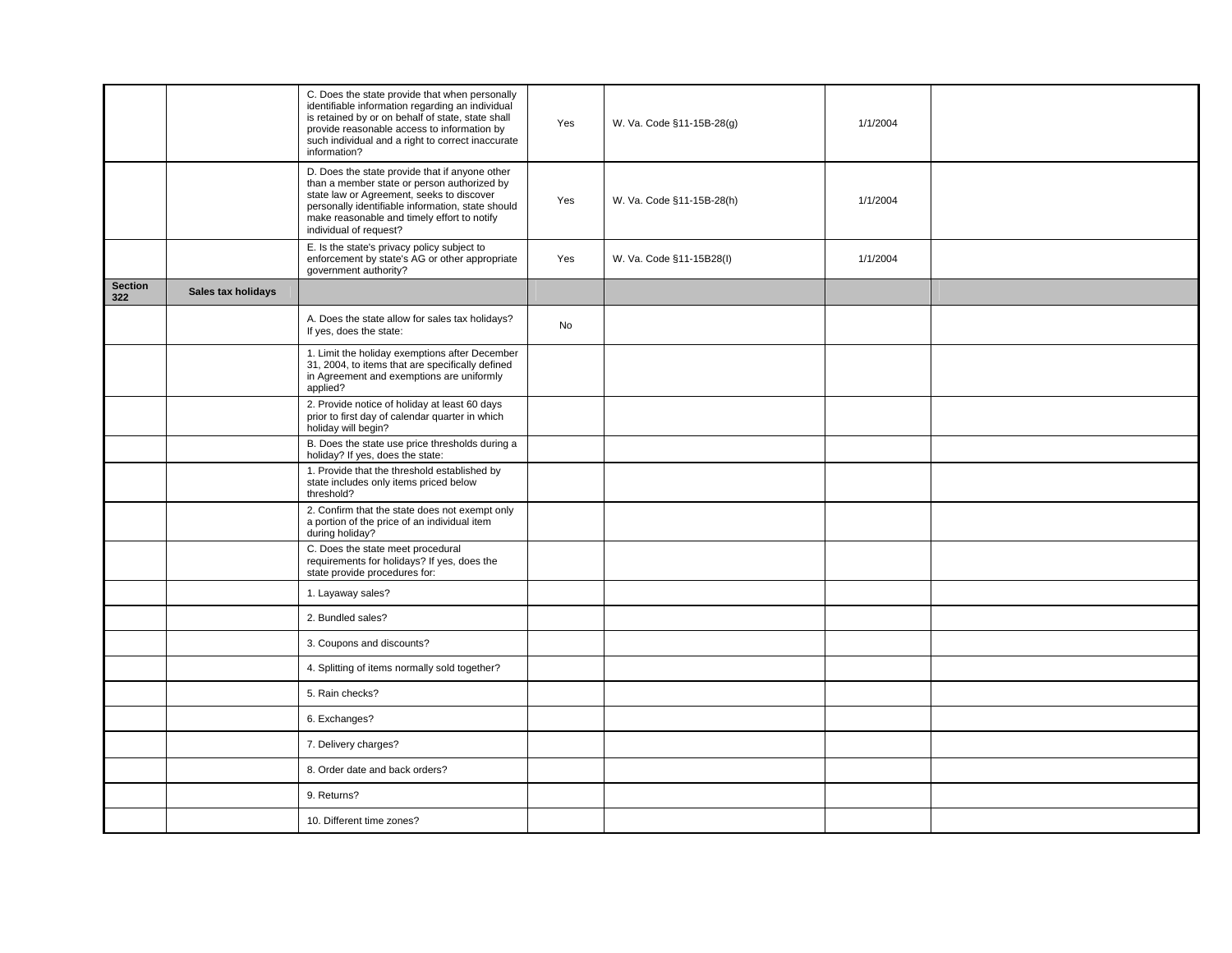|                       |                    | C. Does the state provide that when personally<br>identifiable information regarding an individual<br>is retained by or on behalf of state, state shall<br>provide reasonable access to information by<br>such individual and a right to correct inaccurate<br>information? | Yes | W. Va. Code §11-15B-28(g) | 1/1/2004 |  |
|-----------------------|--------------------|-----------------------------------------------------------------------------------------------------------------------------------------------------------------------------------------------------------------------------------------------------------------------------|-----|---------------------------|----------|--|
|                       |                    | D. Does the state provide that if anyone other<br>than a member state or person authorized by<br>state law or Agreement, seeks to discover<br>personally identifiable information, state should<br>make reasonable and timely effort to notify<br>individual of request?    | Yes | W. Va. Code §11-15B-28(h) | 1/1/2004 |  |
|                       |                    | E. Is the state's privacy policy subject to<br>enforcement by state's AG or other appropriate<br>government authority?                                                                                                                                                      | Yes | W. Va. Code §11-15B28(I)  | 1/1/2004 |  |
| <b>Section</b><br>322 | Sales tax holidays |                                                                                                                                                                                                                                                                             |     |                           |          |  |
|                       |                    | A. Does the state allow for sales tax holidays?<br>If yes, does the state:                                                                                                                                                                                                  | No  |                           |          |  |
|                       |                    | 1. Limit the holiday exemptions after December<br>31, 2004, to items that are specifically defined<br>in Agreement and exemptions are uniformly<br>applied?                                                                                                                 |     |                           |          |  |
|                       |                    | 2. Provide notice of holiday at least 60 days<br>prior to first day of calendar quarter in which<br>holiday will begin?                                                                                                                                                     |     |                           |          |  |
|                       |                    | B. Does the state use price thresholds during a<br>holiday? If yes, does the state:                                                                                                                                                                                         |     |                           |          |  |
|                       |                    | 1. Provide that the threshold established by<br>state includes only items priced below<br>threshold?                                                                                                                                                                        |     |                           |          |  |
|                       |                    | 2. Confirm that the state does not exempt only<br>a portion of the price of an individual item<br>during holiday?                                                                                                                                                           |     |                           |          |  |
|                       |                    | C. Does the state meet procedural<br>requirements for holidays? If yes, does the<br>state provide procedures for:                                                                                                                                                           |     |                           |          |  |
|                       |                    | 1. Layaway sales?                                                                                                                                                                                                                                                           |     |                           |          |  |
|                       |                    | 2. Bundled sales?                                                                                                                                                                                                                                                           |     |                           |          |  |
|                       |                    | 3. Coupons and discounts?                                                                                                                                                                                                                                                   |     |                           |          |  |
|                       |                    | 4. Splitting of items normally sold together?                                                                                                                                                                                                                               |     |                           |          |  |
|                       |                    | 5. Rain checks?                                                                                                                                                                                                                                                             |     |                           |          |  |
|                       |                    | 6. Exchanges?                                                                                                                                                                                                                                                               |     |                           |          |  |
|                       |                    | 7. Delivery charges?                                                                                                                                                                                                                                                        |     |                           |          |  |
|                       |                    | 8. Order date and back orders?                                                                                                                                                                                                                                              |     |                           |          |  |
|                       |                    | 9. Returns?                                                                                                                                                                                                                                                                 |     |                           |          |  |
|                       |                    | 10. Different time zones?                                                                                                                                                                                                                                                   |     |                           |          |  |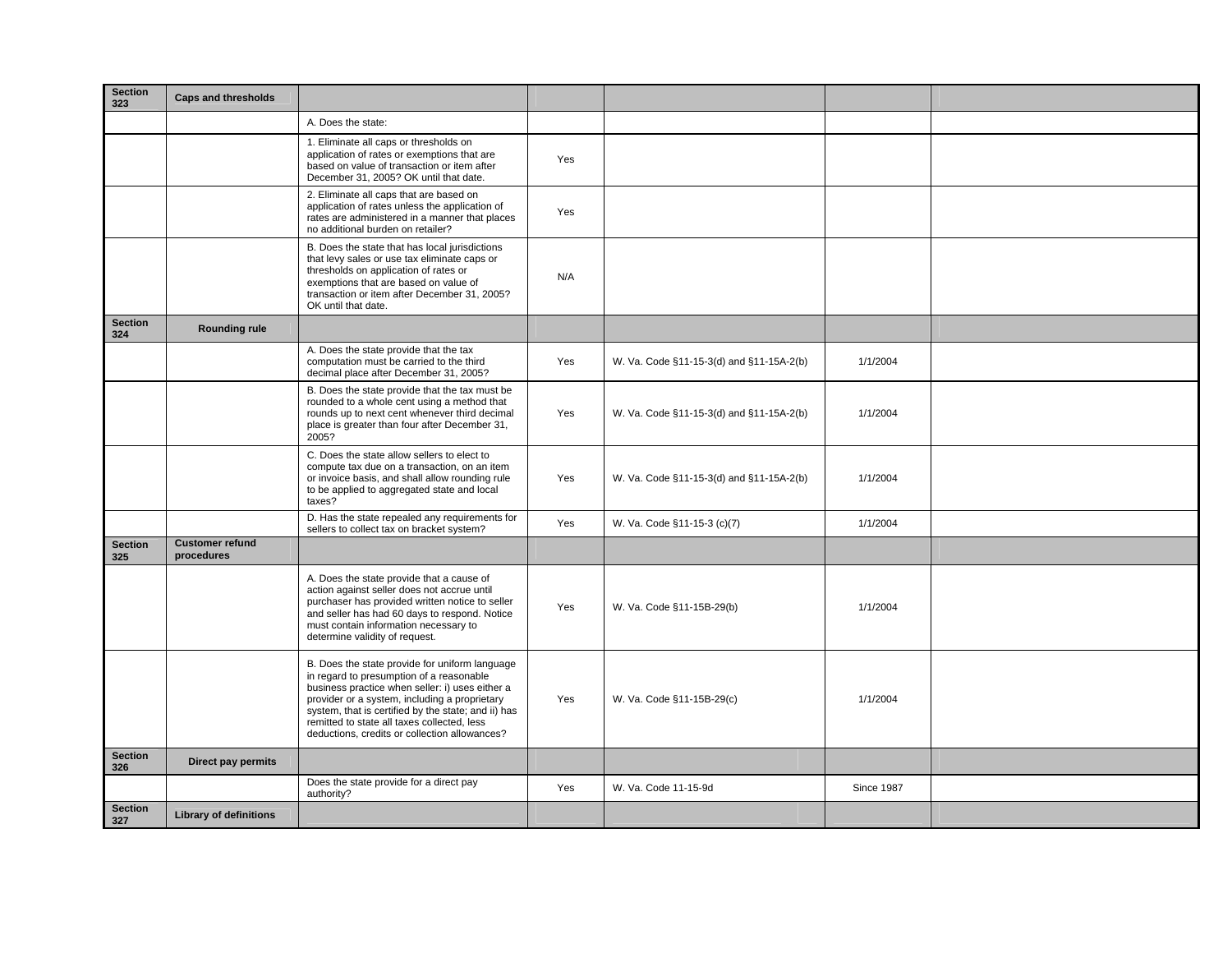| <b>Section</b><br>323 | <b>Caps and thresholds</b>           |                                                                                                                                                                                                                                                                                                                                                       |     |                                          |                   |  |
|-----------------------|--------------------------------------|-------------------------------------------------------------------------------------------------------------------------------------------------------------------------------------------------------------------------------------------------------------------------------------------------------------------------------------------------------|-----|------------------------------------------|-------------------|--|
|                       |                                      | A. Does the state:                                                                                                                                                                                                                                                                                                                                    |     |                                          |                   |  |
|                       |                                      | 1. Eliminate all caps or thresholds on<br>application of rates or exemptions that are<br>based on value of transaction or item after<br>December 31, 2005? OK until that date.                                                                                                                                                                        | Yes |                                          |                   |  |
|                       |                                      | 2. Eliminate all caps that are based on<br>application of rates unless the application of<br>rates are administered in a manner that places<br>no additional burden on retailer?                                                                                                                                                                      | Yes |                                          |                   |  |
|                       |                                      | B. Does the state that has local jurisdictions<br>that levy sales or use tax eliminate caps or<br>thresholds on application of rates or<br>exemptions that are based on value of<br>transaction or item after December 31, 2005?<br>OK until that date.                                                                                               | N/A |                                          |                   |  |
| <b>Section</b><br>324 | <b>Rounding rule</b>                 |                                                                                                                                                                                                                                                                                                                                                       |     |                                          |                   |  |
|                       |                                      | A. Does the state provide that the tax<br>computation must be carried to the third<br>decimal place after December 31, 2005?                                                                                                                                                                                                                          | Yes | W. Va. Code §11-15-3(d) and §11-15A-2(b) | 1/1/2004          |  |
|                       |                                      | B. Does the state provide that the tax must be<br>rounded to a whole cent using a method that<br>rounds up to next cent whenever third decimal<br>place is greater than four after December 31,<br>2005?                                                                                                                                              | Yes | W. Va. Code §11-15-3(d) and §11-15A-2(b) | 1/1/2004          |  |
|                       |                                      | C. Does the state allow sellers to elect to<br>compute tax due on a transaction, on an item<br>or invoice basis, and shall allow rounding rule<br>to be applied to aggregated state and local<br>taxes?                                                                                                                                               | Yes | W. Va. Code §11-15-3(d) and §11-15A-2(b) | 1/1/2004          |  |
|                       |                                      | D. Has the state repealed any requirements for<br>sellers to collect tax on bracket system?                                                                                                                                                                                                                                                           | Yes | W. Va. Code §11-15-3 (c)(7)              | 1/1/2004          |  |
| <b>Section</b><br>325 | <b>Customer refund</b><br>procedures |                                                                                                                                                                                                                                                                                                                                                       |     |                                          |                   |  |
|                       |                                      | A. Does the state provide that a cause of<br>action against seller does not accrue until<br>purchaser has provided written notice to seller<br>and seller has had 60 days to respond. Notice<br>must contain information necessary to<br>determine validity of request.                                                                               | Yes | W. Va. Code §11-15B-29(b)                | 1/1/2004          |  |
|                       |                                      | B. Does the state provide for uniform language<br>in regard to presumption of a reasonable<br>business practice when seller: i) uses either a<br>provider or a system, including a proprietary<br>system, that is certified by the state; and ii) has<br>remitted to state all taxes collected, less<br>deductions, credits or collection allowances? | Yes | W. Va. Code §11-15B-29(c)                | 1/1/2004          |  |
| <b>Section</b><br>326 | Direct pay permits                   |                                                                                                                                                                                                                                                                                                                                                       |     |                                          |                   |  |
|                       |                                      | Does the state provide for a direct pay<br>authority?                                                                                                                                                                                                                                                                                                 | Yes | W. Va. Code 11-15-9d                     | <b>Since 1987</b> |  |
| <b>Section</b><br>327 | <b>Library of definitions</b>        |                                                                                                                                                                                                                                                                                                                                                       |     |                                          |                   |  |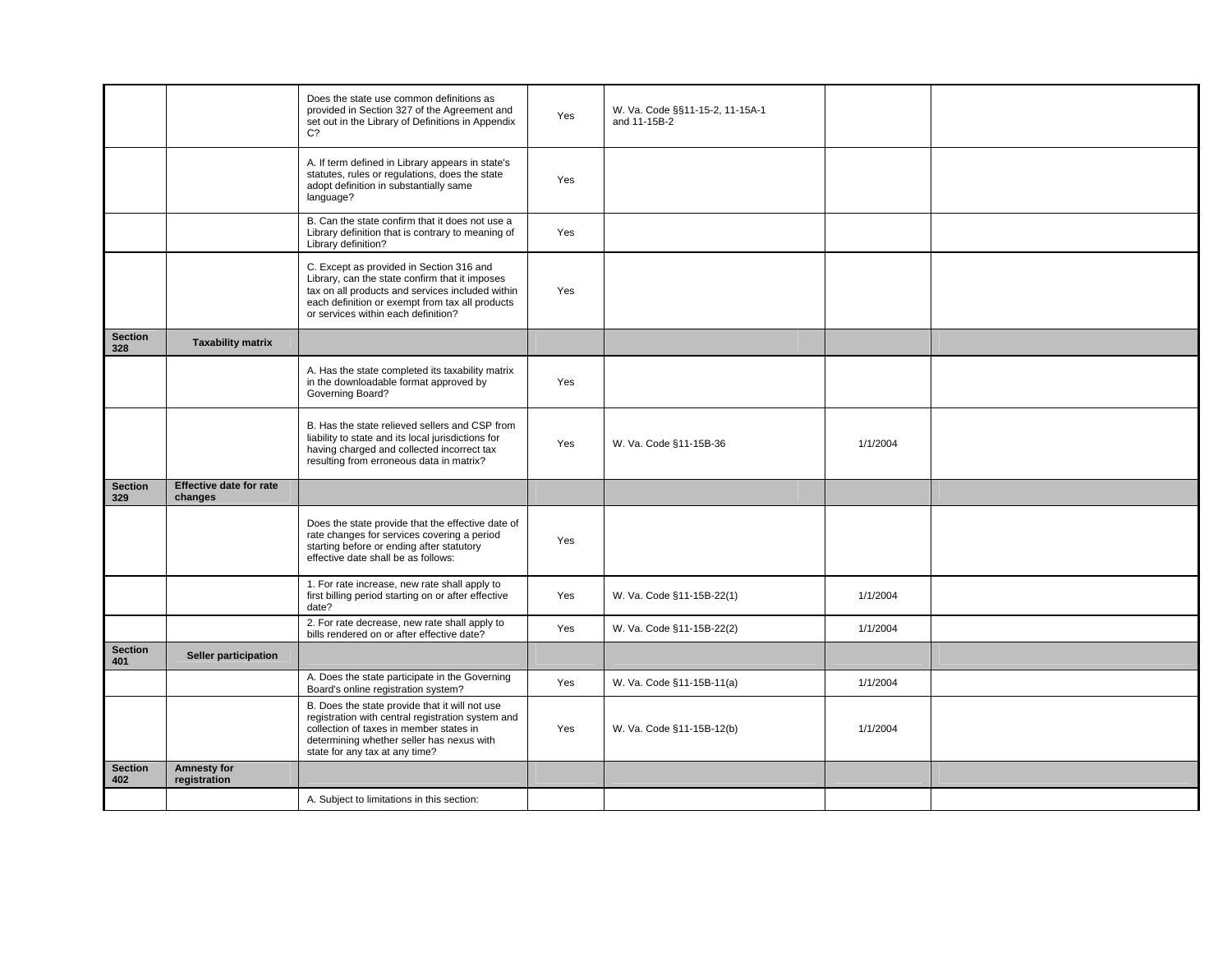|                       |                                    | Does the state use common definitions as<br>provided in Section 327 of the Agreement and<br>set out in the Library of Definitions in Appendix<br>C <sub>2</sub>                                                                          | Yes | W. Va. Code §§11-15-2, 11-15A-1<br>and 11-15B-2 |          |  |
|-----------------------|------------------------------------|------------------------------------------------------------------------------------------------------------------------------------------------------------------------------------------------------------------------------------------|-----|-------------------------------------------------|----------|--|
|                       |                                    | A. If term defined in Library appears in state's<br>statutes, rules or regulations, does the state<br>adopt definition in substantially same<br>language?                                                                                | Yes |                                                 |          |  |
|                       |                                    | B. Can the state confirm that it does not use a<br>Library definition that is contrary to meaning of<br>Library definition?                                                                                                              | Yes |                                                 |          |  |
|                       |                                    | C. Except as provided in Section 316 and<br>Library, can the state confirm that it imposes<br>tax on all products and services included within<br>each definition or exempt from tax all products<br>or services within each definition? | Yes |                                                 |          |  |
| <b>Section</b><br>328 | <b>Taxability matrix</b>           |                                                                                                                                                                                                                                          |     |                                                 |          |  |
|                       |                                    | A. Has the state completed its taxability matrix<br>in the downloadable format approved by<br>Governing Board?                                                                                                                           | Yes |                                                 |          |  |
|                       |                                    | B. Has the state relieved sellers and CSP from<br>liability to state and its local jurisdictions for<br>having charged and collected incorrect tax<br>resulting from erroneous data in matrix?                                           | Yes | W. Va. Code §11-15B-36                          | 1/1/2004 |  |
| <b>Section</b><br>329 | Effective date for rate<br>changes |                                                                                                                                                                                                                                          |     |                                                 |          |  |
|                       |                                    | Does the state provide that the effective date of<br>rate changes for services covering a period<br>starting before or ending after statutory<br>effective date shall be as follows:                                                     | Yes |                                                 |          |  |
|                       |                                    | 1. For rate increase, new rate shall apply to<br>first billing period starting on or after effective<br>date?                                                                                                                            | Yes | W. Va. Code §11-15B-22(1)                       | 1/1/2004 |  |
|                       |                                    | 2. For rate decrease, new rate shall apply to<br>bills rendered on or after effective date?                                                                                                                                              | Yes | W. Va. Code §11-15B-22(2)                       | 1/1/2004 |  |
| <b>Section</b><br>401 | Seller participation               |                                                                                                                                                                                                                                          |     |                                                 |          |  |
|                       |                                    | A. Does the state participate in the Governing<br>Board's online registration system?                                                                                                                                                    | Yes | W. Va. Code §11-15B-11(a)                       | 1/1/2004 |  |
|                       |                                    | B. Does the state provide that it will not use<br>registration with central registration system and<br>collection of taxes in member states in<br>determining whether seller has nexus with<br>state for any tax at any time?            | Yes | W. Va. Code §11-15B-12(b)                       | 1/1/2004 |  |
| <b>Section</b><br>402 | <b>Amnesty for</b><br>registration |                                                                                                                                                                                                                                          |     |                                                 |          |  |
|                       |                                    | A. Subject to limitations in this section:                                                                                                                                                                                               |     |                                                 |          |  |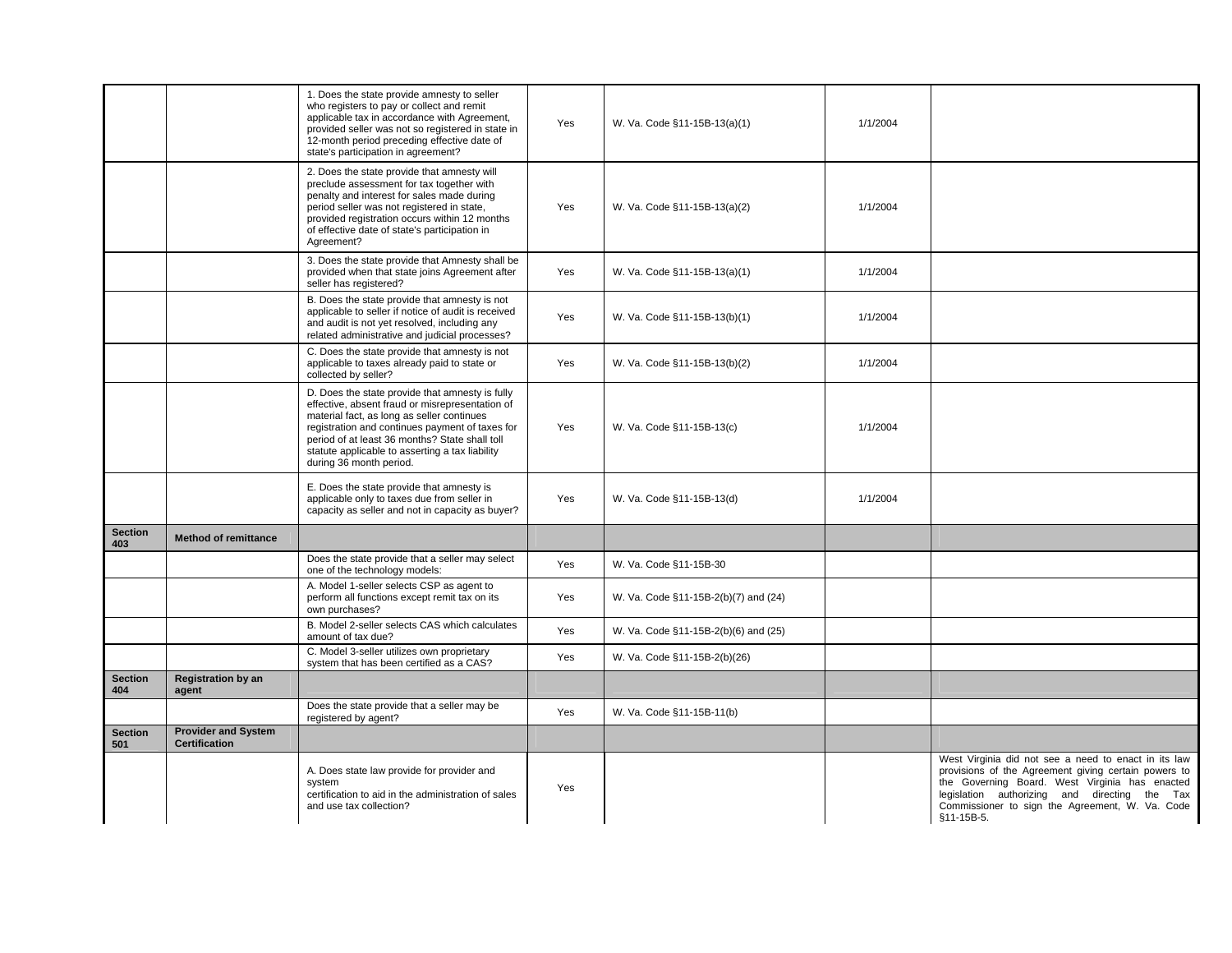|                       |                                                    | 1. Does the state provide amnesty to seller<br>who registers to pay or collect and remit<br>applicable tax in accordance with Agreement,<br>provided seller was not so registered in state in<br>12-month period preceding effective date of<br>state's participation in agreement?                                                 | Yes | W. Va. Code §11-15B-13(a)(1)         | 1/1/2004 |                                                                                                                                                                                                                                                                                  |
|-----------------------|----------------------------------------------------|-------------------------------------------------------------------------------------------------------------------------------------------------------------------------------------------------------------------------------------------------------------------------------------------------------------------------------------|-----|--------------------------------------|----------|----------------------------------------------------------------------------------------------------------------------------------------------------------------------------------------------------------------------------------------------------------------------------------|
|                       |                                                    | 2. Does the state provide that amnesty will<br>preclude assessment for tax together with<br>penalty and interest for sales made during<br>period seller was not registered in state,<br>provided registration occurs within 12 months<br>of effective date of state's participation in<br>Agreement?                                | Yes | W. Va. Code §11-15B-13(a)(2)         | 1/1/2004 |                                                                                                                                                                                                                                                                                  |
|                       |                                                    | 3. Does the state provide that Amnesty shall be<br>provided when that state joins Agreement after<br>seller has registered?                                                                                                                                                                                                         | Yes | W. Va. Code §11-15B-13(a)(1)         | 1/1/2004 |                                                                                                                                                                                                                                                                                  |
|                       |                                                    | B. Does the state provide that amnesty is not<br>applicable to seller if notice of audit is received<br>and audit is not yet resolved, including any<br>related administrative and judicial processes?                                                                                                                              | Yes | W. Va. Code §11-15B-13(b)(1)         | 1/1/2004 |                                                                                                                                                                                                                                                                                  |
|                       |                                                    | C. Does the state provide that amnesty is not<br>applicable to taxes already paid to state or<br>collected by seller?                                                                                                                                                                                                               | Yes | W. Va. Code §11-15B-13(b)(2)         | 1/1/2004 |                                                                                                                                                                                                                                                                                  |
|                       |                                                    | D. Does the state provide that amnesty is fully<br>effective, absent fraud or misrepresentation of<br>material fact, as long as seller continues<br>registration and continues payment of taxes for<br>period of at least 36 months? State shall toll<br>statute applicable to asserting a tax liability<br>during 36 month period. | Yes | W. Va. Code §11-15B-13(c)            | 1/1/2004 |                                                                                                                                                                                                                                                                                  |
|                       |                                                    | E. Does the state provide that amnesty is<br>applicable only to taxes due from seller in<br>capacity as seller and not in capacity as buyer?                                                                                                                                                                                        | Yes | W. Va. Code §11-15B-13(d)            | 1/1/2004 |                                                                                                                                                                                                                                                                                  |
| <b>Section</b><br>403 | <b>Method of remittance</b>                        |                                                                                                                                                                                                                                                                                                                                     |     |                                      |          |                                                                                                                                                                                                                                                                                  |
|                       |                                                    | Does the state provide that a seller may select<br>one of the technology models:                                                                                                                                                                                                                                                    | Yes | W. Va. Code §11-15B-30               |          |                                                                                                                                                                                                                                                                                  |
|                       |                                                    | A. Model 1-seller selects CSP as agent to<br>perform all functions except remit tax on its<br>own purchases?                                                                                                                                                                                                                        | Yes | W. Va. Code §11-15B-2(b)(7) and (24) |          |                                                                                                                                                                                                                                                                                  |
|                       |                                                    | B. Model 2-seller selects CAS which calculates<br>amount of tax due?                                                                                                                                                                                                                                                                | Yes | W. Va. Code §11-15B-2(b)(6) and (25) |          |                                                                                                                                                                                                                                                                                  |
|                       |                                                    | C. Model 3-seller utilizes own proprietary<br>system that has been certified as a CAS?                                                                                                                                                                                                                                              | Yes | W. Va. Code §11-15B-2(b)(26)         |          |                                                                                                                                                                                                                                                                                  |
| <b>Section</b><br>404 | <b>Registration by an</b><br>agent                 |                                                                                                                                                                                                                                                                                                                                     |     |                                      |          |                                                                                                                                                                                                                                                                                  |
|                       |                                                    | Does the state provide that a seller may be<br>registered by agent?                                                                                                                                                                                                                                                                 | Yes | W. Va. Code §11-15B-11(b)            |          |                                                                                                                                                                                                                                                                                  |
| <b>Section</b><br>501 | <b>Provider and System</b><br><b>Certification</b> |                                                                                                                                                                                                                                                                                                                                     |     |                                      |          |                                                                                                                                                                                                                                                                                  |
|                       |                                                    | A. Does state law provide for provider and<br>system<br>certification to aid in the administration of sales<br>and use tax collection?                                                                                                                                                                                              | Yes |                                      |          | West Virginia did not see a need to enact in its law<br>provisions of the Agreement giving certain powers to<br>the Governing Board. West Virginia has enacted<br>legislation authorizing and directing the Tax<br>Commissioner to sign the Agreement, W. Va. Code<br>§11-15B-5. |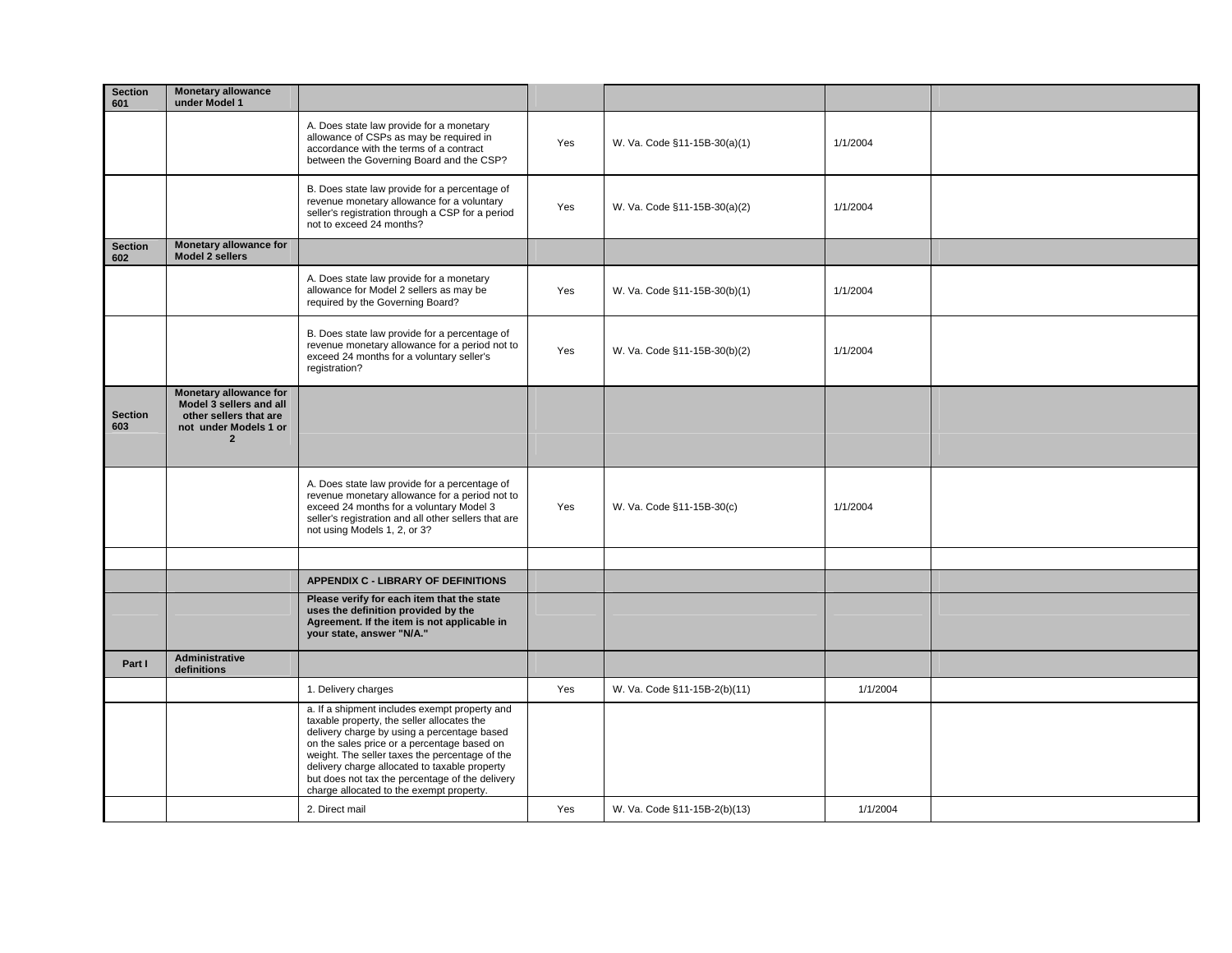| <b>Section</b><br>601 | <b>Monetary allowance</b><br>under Model 1                                                                                    |                                                                                                                                                                                                                                                                                                                                                                                             |     |                              |          |  |
|-----------------------|-------------------------------------------------------------------------------------------------------------------------------|---------------------------------------------------------------------------------------------------------------------------------------------------------------------------------------------------------------------------------------------------------------------------------------------------------------------------------------------------------------------------------------------|-----|------------------------------|----------|--|
|                       |                                                                                                                               | A. Does state law provide for a monetary<br>allowance of CSPs as may be required in<br>accordance with the terms of a contract<br>between the Governing Board and the CSP?                                                                                                                                                                                                                  | Yes | W. Va. Code §11-15B-30(a)(1) | 1/1/2004 |  |
|                       |                                                                                                                               | B. Does state law provide for a percentage of<br>revenue monetary allowance for a voluntary<br>seller's registration through a CSP for a period<br>not to exceed 24 months?                                                                                                                                                                                                                 | Yes | W. Va. Code §11-15B-30(a)(2) | 1/1/2004 |  |
| <b>Section</b><br>602 | <b>Monetary allowance for</b><br>Model 2 sellers                                                                              |                                                                                                                                                                                                                                                                                                                                                                                             |     |                              |          |  |
|                       |                                                                                                                               | A. Does state law provide for a monetary<br>allowance for Model 2 sellers as may be<br>required by the Governing Board?                                                                                                                                                                                                                                                                     | Yes | W. Va. Code §11-15B-30(b)(1) | 1/1/2004 |  |
|                       |                                                                                                                               | B. Does state law provide for a percentage of<br>revenue monetary allowance for a period not to<br>exceed 24 months for a voluntary seller's<br>registration?                                                                                                                                                                                                                               | Yes | W. Va. Code §11-15B-30(b)(2) | 1/1/2004 |  |
| <b>Section</b><br>603 | <b>Monetary allowance for</b><br>Model 3 sellers and all<br>other sellers that are<br>not under Models 1 or<br>$\overline{2}$ |                                                                                                                                                                                                                                                                                                                                                                                             |     |                              |          |  |
|                       |                                                                                                                               | A. Does state law provide for a percentage of<br>revenue monetary allowance for a period not to<br>exceed 24 months for a voluntary Model 3<br>seller's registration and all other sellers that are<br>not using Models 1, 2, or 3?                                                                                                                                                         | Yes | W. Va. Code §11-15B-30(c)    | 1/1/2004 |  |
|                       |                                                                                                                               |                                                                                                                                                                                                                                                                                                                                                                                             |     |                              |          |  |
|                       |                                                                                                                               | <b>APPENDIX C - LIBRARY OF DEFINITIONS</b>                                                                                                                                                                                                                                                                                                                                                  |     |                              |          |  |
|                       |                                                                                                                               | Please verify for each item that the state<br>uses the definition provided by the<br>Agreement. If the item is not applicable in<br>your state, answer "N/A."                                                                                                                                                                                                                               |     |                              |          |  |
| Part I                | <b>Administrative</b><br>definitions                                                                                          |                                                                                                                                                                                                                                                                                                                                                                                             |     |                              |          |  |
|                       |                                                                                                                               | 1. Delivery charges                                                                                                                                                                                                                                                                                                                                                                         | Yes | W. Va. Code §11-15B-2(b)(11) | 1/1/2004 |  |
|                       |                                                                                                                               | a. If a shipment includes exempt property and<br>taxable property, the seller allocates the<br>delivery charge by using a percentage based<br>on the sales price or a percentage based on<br>weight. The seller taxes the percentage of the<br>delivery charge allocated to taxable property<br>but does not tax the percentage of the delivery<br>charge allocated to the exempt property. |     |                              |          |  |
|                       |                                                                                                                               | 2. Direct mail                                                                                                                                                                                                                                                                                                                                                                              | Yes | W. Va. Code §11-15B-2(b)(13) | 1/1/2004 |  |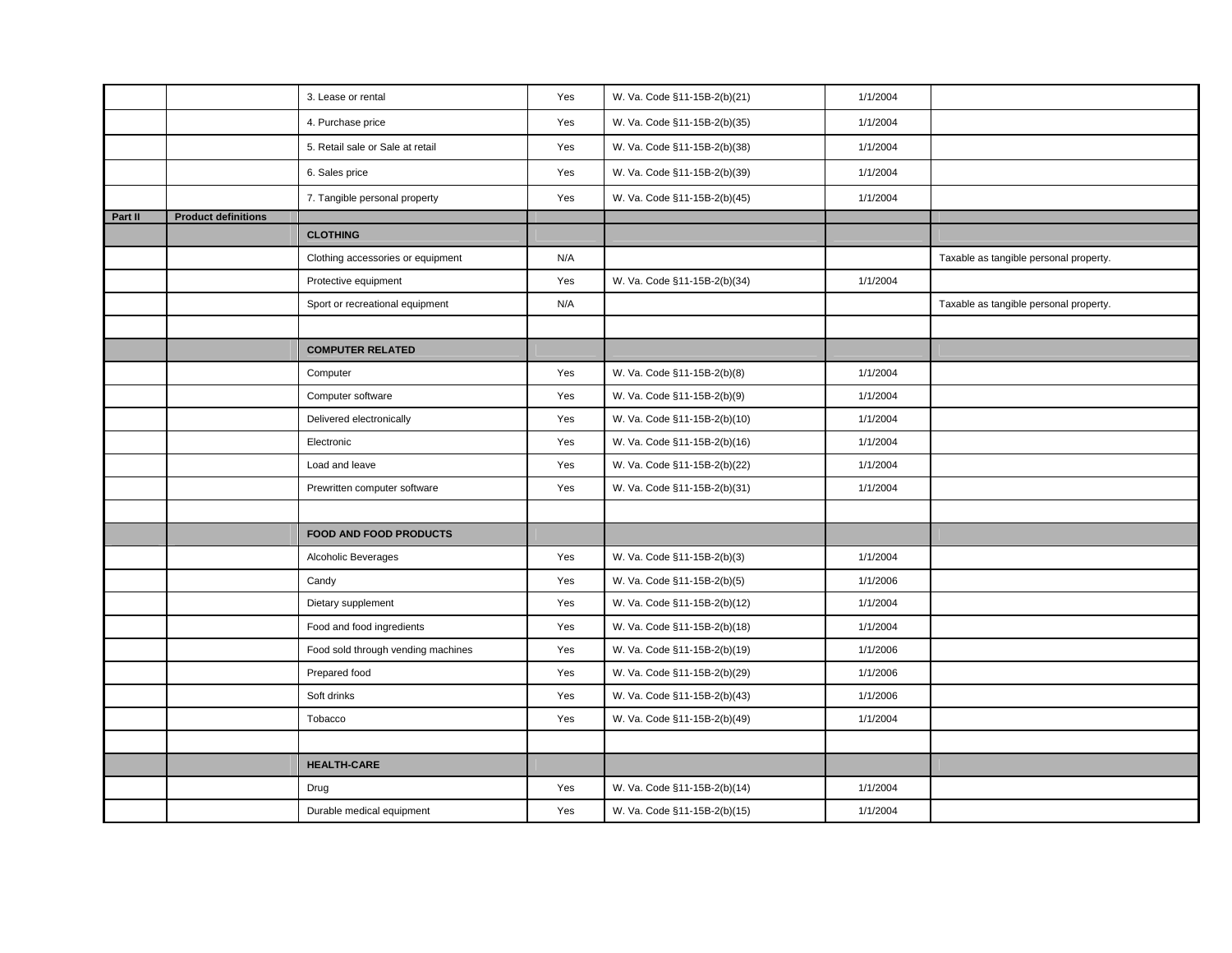|         |                            | 3. Lease or rental                 | Yes | W. Va. Code §11-15B-2(b)(21) | 1/1/2004 |                                        |
|---------|----------------------------|------------------------------------|-----|------------------------------|----------|----------------------------------------|
|         |                            | 4. Purchase price                  | Yes | W. Va. Code §11-15B-2(b)(35) | 1/1/2004 |                                        |
|         |                            | 5. Retail sale or Sale at retail   | Yes | W. Va. Code §11-15B-2(b)(38) | 1/1/2004 |                                        |
|         |                            | 6. Sales price                     | Yes | W. Va. Code §11-15B-2(b)(39) | 1/1/2004 |                                        |
|         |                            | 7. Tangible personal property      | Yes | W. Va. Code §11-15B-2(b)(45) | 1/1/2004 |                                        |
| Part II | <b>Product definitions</b> |                                    |     |                              |          |                                        |
|         |                            | <b>CLOTHING</b>                    |     |                              |          |                                        |
|         |                            | Clothing accessories or equipment  | N/A |                              |          | Taxable as tangible personal property. |
|         |                            | Protective equipment               | Yes | W. Va. Code §11-15B-2(b)(34) | 1/1/2004 |                                        |
|         |                            | Sport or recreational equipment    | N/A |                              |          | Taxable as tangible personal property. |
|         |                            |                                    |     |                              |          |                                        |
|         |                            | <b>COMPUTER RELATED</b>            |     |                              |          |                                        |
|         |                            | Computer                           | Yes | W. Va. Code §11-15B-2(b)(8)  | 1/1/2004 |                                        |
|         |                            | Computer software                  | Yes | W. Va. Code §11-15B-2(b)(9)  | 1/1/2004 |                                        |
|         |                            | Delivered electronically           | Yes | W. Va. Code §11-15B-2(b)(10) | 1/1/2004 |                                        |
|         |                            | Electronic                         | Yes | W. Va. Code §11-15B-2(b)(16) | 1/1/2004 |                                        |
|         |                            | Load and leave                     | Yes | W. Va. Code §11-15B-2(b)(22) | 1/1/2004 |                                        |
|         |                            | Prewritten computer software       | Yes | W. Va. Code §11-15B-2(b)(31) | 1/1/2004 |                                        |
|         |                            |                                    |     |                              |          |                                        |
|         |                            | <b>FOOD AND FOOD PRODUCTS</b>      |     |                              |          |                                        |
|         |                            | Alcoholic Beverages                | Yes | W. Va. Code §11-15B-2(b)(3)  | 1/1/2004 |                                        |
|         |                            | Candy                              | Yes | W. Va. Code §11-15B-2(b)(5)  | 1/1/2006 |                                        |
|         |                            | Dietary supplement                 | Yes | W. Va. Code §11-15B-2(b)(12) | 1/1/2004 |                                        |
|         |                            | Food and food ingredients          | Yes | W. Va. Code §11-15B-2(b)(18) | 1/1/2004 |                                        |
|         |                            | Food sold through vending machines | Yes | W. Va. Code §11-15B-2(b)(19) | 1/1/2006 |                                        |
|         |                            | Prepared food                      | Yes | W. Va. Code §11-15B-2(b)(29) | 1/1/2006 |                                        |
|         |                            | Soft drinks                        | Yes | W. Va. Code §11-15B-2(b)(43) | 1/1/2006 |                                        |
|         |                            | Tobacco                            | Yes | W. Va. Code §11-15B-2(b)(49) | 1/1/2004 |                                        |
|         |                            |                                    |     |                              |          |                                        |
|         |                            | <b>HEALTH-CARE</b>                 |     |                              |          |                                        |
|         |                            | Drug                               | Yes | W. Va. Code §11-15B-2(b)(14) | 1/1/2004 |                                        |
|         |                            | Durable medical equipment          | Yes | W. Va. Code §11-15B-2(b)(15) | 1/1/2004 |                                        |